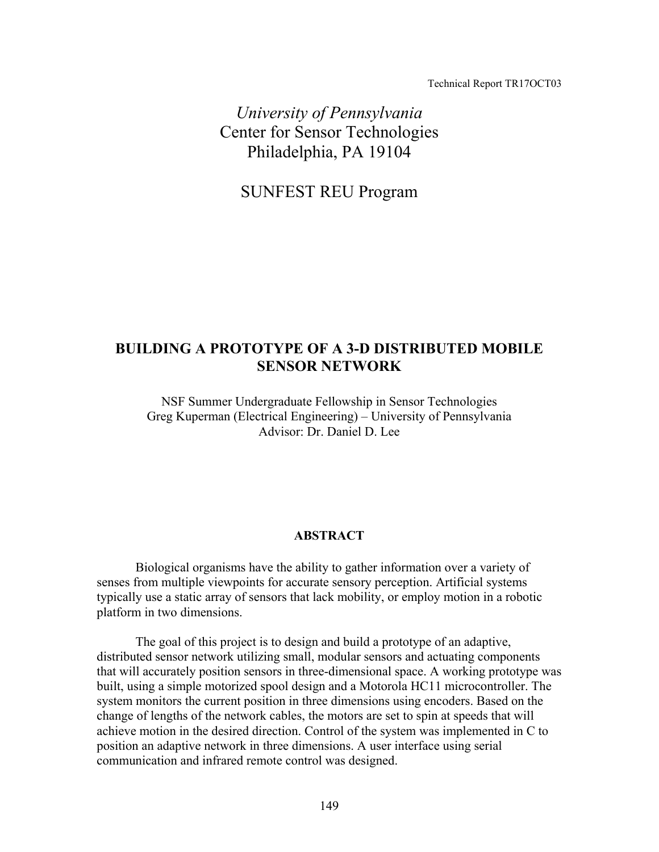Technical Report TR17OCT03

*University of Pennsylvania*  Center for Sensor Technologies Philadelphia, PA 19104

SUNFEST REU Program

# **BUILDING A PROTOTYPE OF A 3-D DISTRIBUTED MOBILE SENSOR NETWORK**

NSF Summer Undergraduate Fellowship in Sensor Technologies Greg Kuperman (Electrical Engineering) – University of Pennsylvania Advisor: Dr. Daniel D. Lee

#### **ABSTRACT**

 Biological organisms have the ability to gather information over a variety of senses from multiple viewpoints for accurate sensory perception. Artificial systems typically use a static array of sensors that lack mobility, or employ motion in a robotic platform in two dimensions.

 The goal of this project is to design and build a prototype of an adaptive, distributed sensor network utilizing small, modular sensors and actuating components that will accurately position sensors in three-dimensional space. A working prototype was built, using a simple motorized spool design and a Motorola HC11 microcontroller. The system monitors the current position in three dimensions using encoders. Based on the change of lengths of the network cables, the motors are set to spin at speeds that will achieve motion in the desired direction. Control of the system was implemented in C to position an adaptive network in three dimensions. A user interface using serial communication and infrared remote control was designed.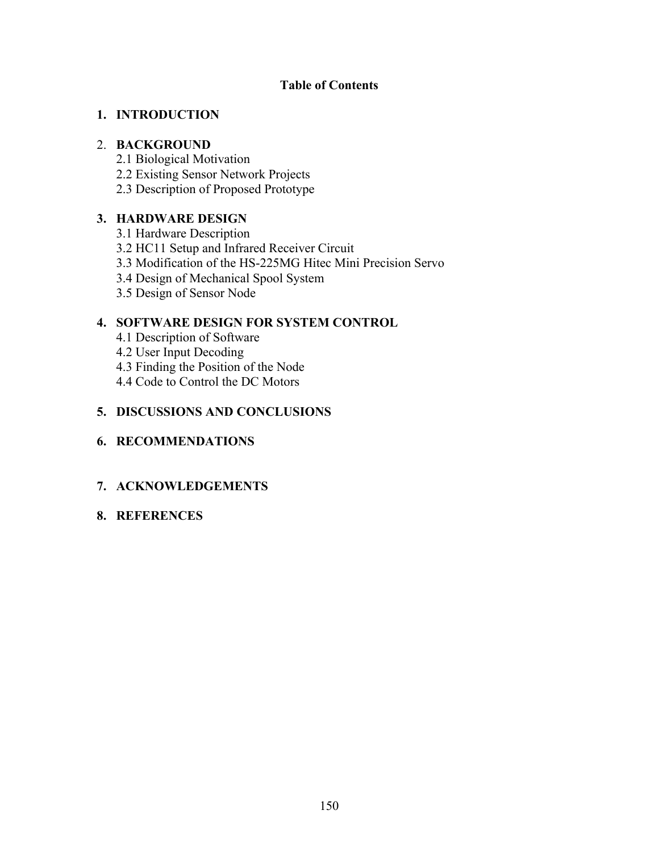## **Table of Contents**

### **1. INTRODUCTION**

### 2. **BACKGROUND**

- 2.1 Biological Motivation
- 2.2 Existing Sensor Network Projects
- 2.3 Description of Proposed Prototype

## **3. HARDWARE DESIGN**

- 3.1 Hardware Description
- 3.2 HC11 Setup and Infrared Receiver Circuit
- 3.3 Modification of the HS-225MG Hitec Mini Precision Servo
- 3.4 Design of Mechanical Spool System
- 3.5 Design of Sensor Node

## **4. SOFTWARE DESIGN FOR SYSTEM CONTROL**

- 4.1 Description of Software
- 4.2 User Input Decoding
- 4.3 Finding the Position of the Node
- 4.4 Code to Control the DC Motors

## **5. DISCUSSIONS AND CONCLUSIONS**

## **6. RECOMMENDATIONS**

## **7. ACKNOWLEDGEMENTS**

## **8. REFERENCES**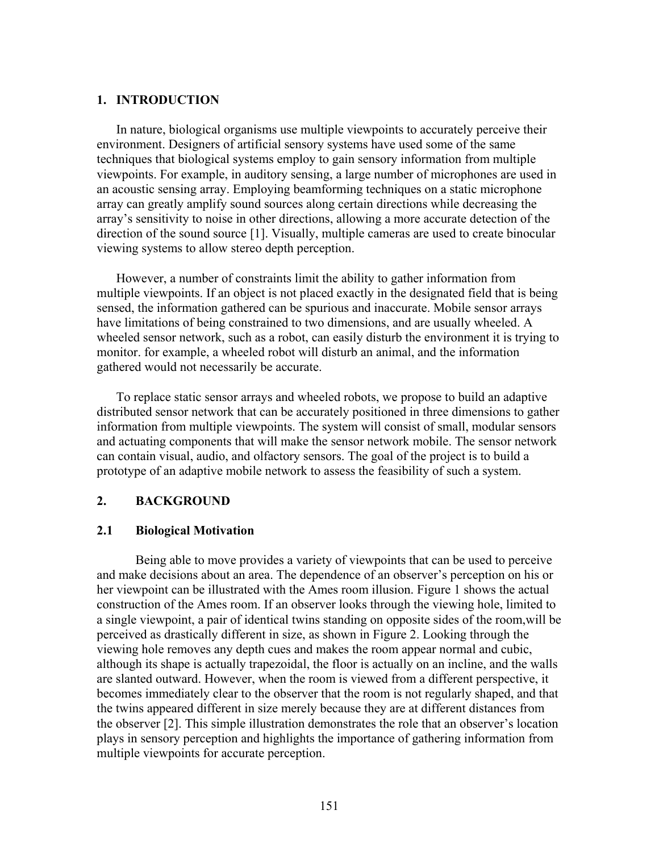### **1. INTRODUCTION**

In nature, biological organisms use multiple viewpoints to accurately perceive their environment. Designers of artificial sensory systems have used some of the same techniques that biological systems employ to gain sensory information from multiple viewpoints. For example, in auditory sensing, a large number of microphones are used in an acoustic sensing array. Employing beamforming techniques on a static microphone array can greatly amplify sound sources along certain directions while decreasing the array's sensitivity to noise in other directions, allowing a more accurate detection of the direction of the sound source [1]. Visually, multiple cameras are used to create binocular viewing systems to allow stereo depth perception.

However, a number of constraints limit the ability to gather information from multiple viewpoints. If an object is not placed exactly in the designated field that is being sensed, the information gathered can be spurious and inaccurate. Mobile sensor arrays have limitations of being constrained to two dimensions, and are usually wheeled. A wheeled sensor network, such as a robot, can easily disturb the environment it is trying to monitor. for example, a wheeled robot will disturb an animal, and the information gathered would not necessarily be accurate.

To replace static sensor arrays and wheeled robots, we propose to build an adaptive distributed sensor network that can be accurately positioned in three dimensions to gather information from multiple viewpoints. The system will consist of small, modular sensors and actuating components that will make the sensor network mobile. The sensor network can contain visual, audio, and olfactory sensors. The goal of the project is to build a prototype of an adaptive mobile network to assess the feasibility of such a system.

### **2. BACKGROUND**

#### **2.1 Biological Motivation**

Being able to move provides a variety of viewpoints that can be used to perceive and make decisions about an area. The dependence of an observer's perception on his or her viewpoint can be illustrated with the Ames room illusion. Figure 1 shows the actual construction of the Ames room. If an observer looks through the viewing hole, limited to a single viewpoint, a pair of identical twins standing on opposite sides of the room,will be perceived as drastically different in size, as shown in Figure 2. Looking through the viewing hole removes any depth cues and makes the room appear normal and cubic, although its shape is actually trapezoidal, the floor is actually on an incline, and the walls are slanted outward. However, when the room is viewed from a different perspective, it becomes immediately clear to the observer that the room is not regularly shaped, and that the twins appeared different in size merely because they are at different distances from the observer [2]. This simple illustration demonstrates the role that an observer's location plays in sensory perception and highlights the importance of gathering information from multiple viewpoints for accurate perception.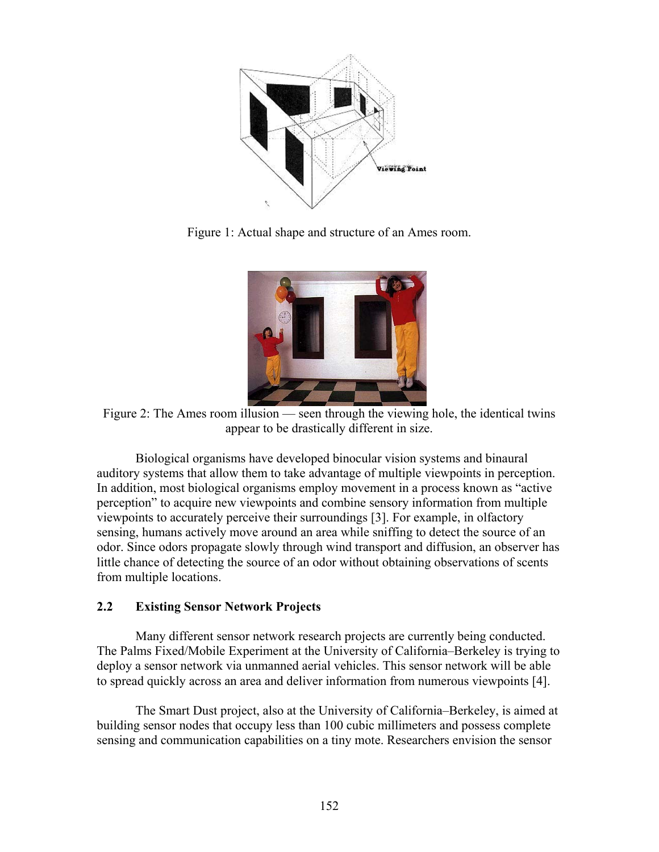

Figure 1: Actual shape and structure of an Ames room.



Figure 2: The Ames room illusion — seen through the viewing hole, the identical twins appear to be drastically different in size.

Biological organisms have developed binocular vision systems and binaural auditory systems that allow them to take advantage of multiple viewpoints in perception. In addition, most biological organisms employ movement in a process known as "active perception" to acquire new viewpoints and combine sensory information from multiple viewpoints to accurately perceive their surroundings [3]. For example, in olfactory sensing, humans actively move around an area while sniffing to detect the source of an odor. Since odors propagate slowly through wind transport and diffusion, an observer has little chance of detecting the source of an odor without obtaining observations of scents from multiple locations.

### **2.2 Existing Sensor Network Projects**

Many different sensor network research projects are currently being conducted. The Palms Fixed/Mobile Experiment at the University of California–Berkeley is trying to deploy a sensor network via unmanned aerial vehicles. This sensor network will be able to spread quickly across an area and deliver information from numerous viewpoints [4].

The Smart Dust project, also at the University of California–Berkeley, is aimed at building sensor nodes that occupy less than 100 cubic millimeters and possess complete sensing and communication capabilities on a tiny mote. Researchers envision the sensor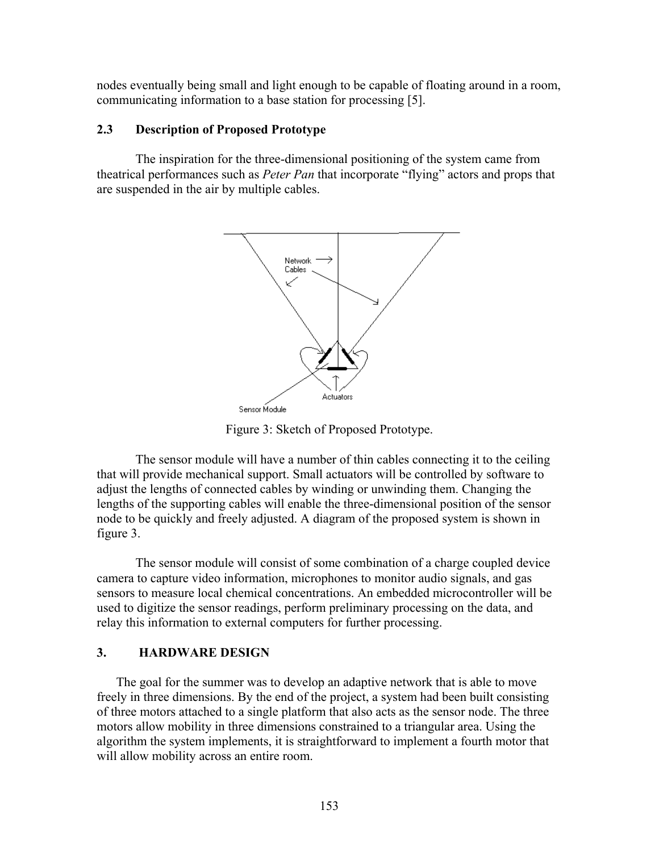nodes eventually being small and light enough to be capable of floating around in a room, communicating information to a base station for processing [5].

### **2.3 Description of Proposed Prototype**

The inspiration for the three-dimensional positioning of the system came from theatrical performances such as *Peter Pan* that incorporate "flying" actors and props that are suspended in the air by multiple cables.



Figure 3: Sketch of Proposed Prototype.

The sensor module will have a number of thin cables connecting it to the ceiling that will provide mechanical support. Small actuators will be controlled by software to adjust the lengths of connected cables by winding or unwinding them. Changing the lengths of the supporting cables will enable the three-dimensional position of the sensor node to be quickly and freely adjusted. A diagram of the proposed system is shown in figure 3.

The sensor module will consist of some combination of a charge coupled device camera to capture video information, microphones to monitor audio signals, and gas sensors to measure local chemical concentrations. An embedded microcontroller will be used to digitize the sensor readings, perform preliminary processing on the data, and relay this information to external computers for further processing.

### **3. HARDWARE DESIGN**

The goal for the summer was to develop an adaptive network that is able to move freely in three dimensions. By the end of the project, a system had been built consisting of three motors attached to a single platform that also acts as the sensor node. The three motors allow mobility in three dimensions constrained to a triangular area. Using the algorithm the system implements, it is straightforward to implement a fourth motor that will allow mobility across an entire room.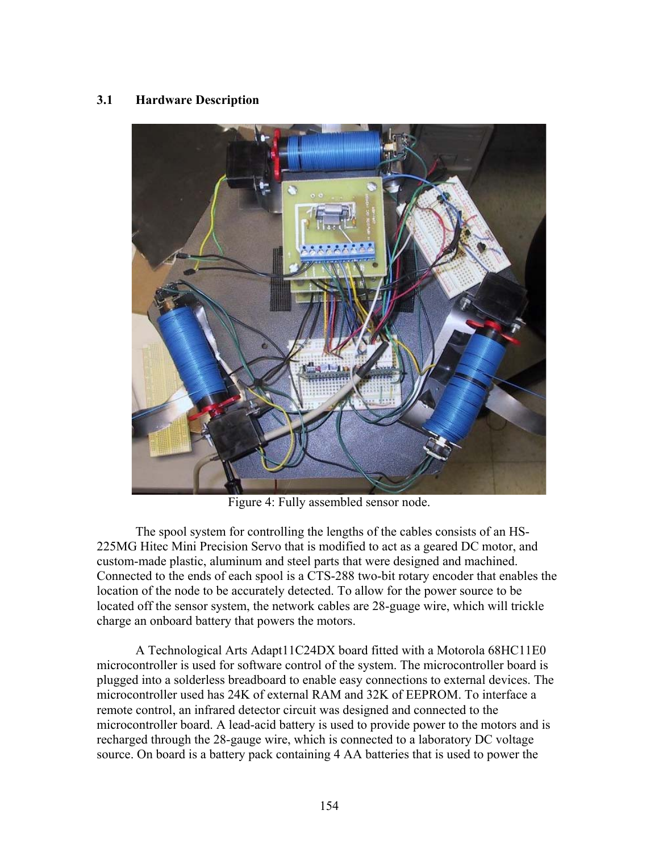## **3.1 Hardware Description**



Figure 4: Fully assembled sensor node.

The spool system for controlling the lengths of the cables consists of an HS-225MG Hitec Mini Precision Servo that is modified to act as a geared DC motor, and custom-made plastic, aluminum and steel parts that were designed and machined. Connected to the ends of each spool is a CTS-288 two-bit rotary encoder that enables the location of the node to be accurately detected. To allow for the power source to be located off the sensor system, the network cables are 28-guage wire, which will trickle charge an onboard battery that powers the motors.

A Technological Arts Adapt11C24DX board fitted with a Motorola 68HC11E0 microcontroller is used for software control of the system. The microcontroller board is plugged into a solderless breadboard to enable easy connections to external devices. The microcontroller used has 24K of external RAM and 32K of EEPROM. To interface a remote control, an infrared detector circuit was designed and connected to the microcontroller board. A lead-acid battery is used to provide power to the motors and is recharged through the 28-gauge wire, which is connected to a laboratory DC voltage source. On board is a battery pack containing 4 AA batteries that is used to power the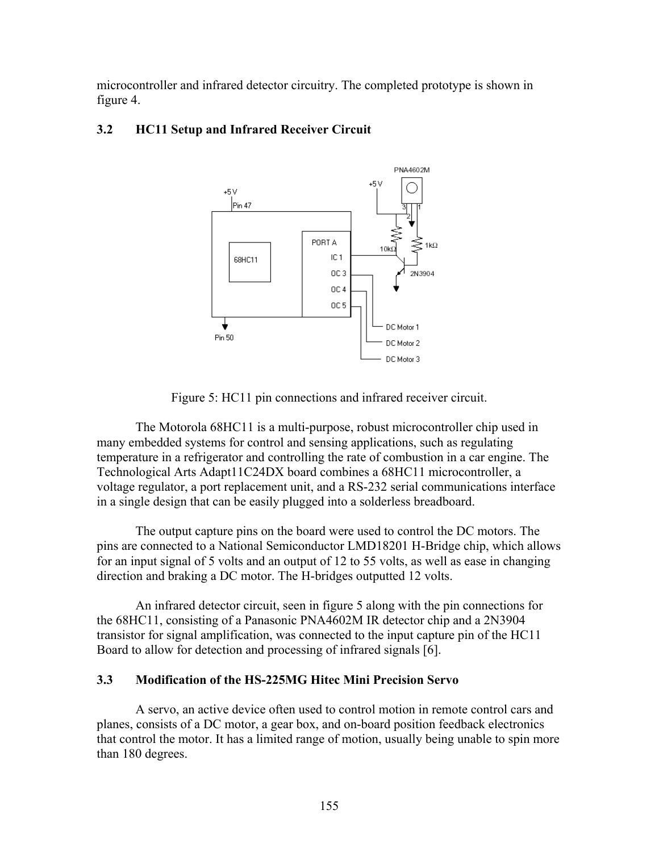microcontroller and infrared detector circuitry. The completed prototype is shown in figure 4.



## **3.2 HC11 Setup and Infrared Receiver Circuit**

Figure 5: HC11 pin connections and infrared receiver circuit.

The Motorola 68HC11 is a multi-purpose, robust microcontroller chip used in many embedded systems for control and sensing applications, such as regulating temperature in a refrigerator and controlling the rate of combustion in a car engine. The Technological Arts Adapt11C24DX board combines a 68HC11 microcontroller, a voltage regulator, a port replacement unit, and a RS-232 serial communications interface in a single design that can be easily plugged into a solderless breadboard.

The output capture pins on the board were used to control the DC motors. The pins are connected to a National Semiconductor LMD18201 H-Bridge chip, which allows for an input signal of 5 volts and an output of 12 to 55 volts, as well as ease in changing direction and braking a DC motor. The H-bridges outputted 12 volts.

An infrared detector circuit, seen in figure 5 along with the pin connections for the 68HC11, consisting of a Panasonic PNA4602M IR detector chip and a 2N3904 transistor for signal amplification, was connected to the input capture pin of the HC11 Board to allow for detection and processing of infrared signals [6].

## **3.3 Modification of the HS-225MG Hitec Mini Precision Servo**

A servo, an active device often used to control motion in remote control cars and planes, consists of a DC motor, a gear box, and on-board position feedback electronics that control the motor. It has a limited range of motion, usually being unable to spin more than 180 degrees.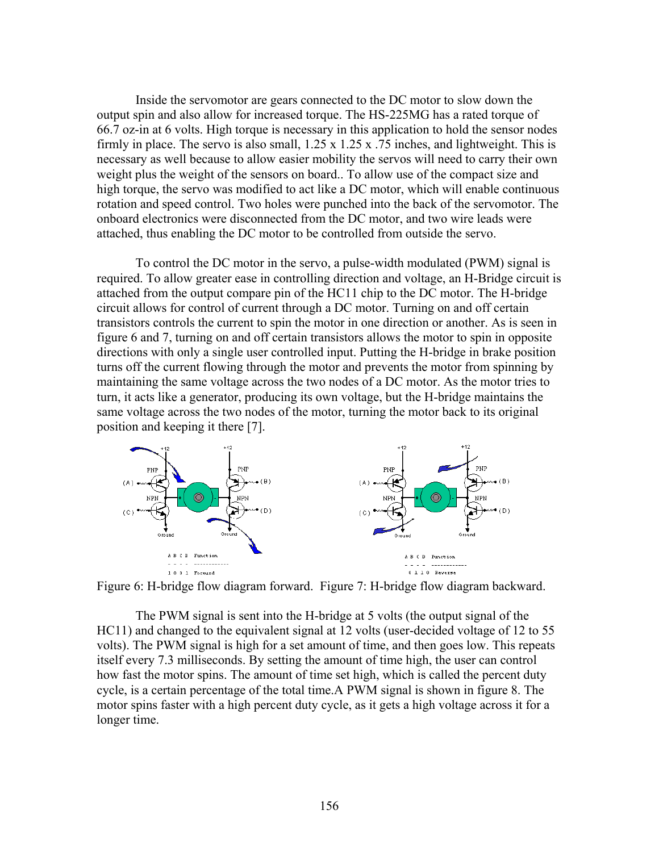Inside the servomotor are gears connected to the DC motor to slow down the output spin and also allow for increased torque. The HS-225MG has a rated torque of 66.7 oz-in at 6 volts. High torque is necessary in this application to hold the sensor nodes firmly in place. The servo is also small,  $1.25 \times 1.25 \times .75$  inches, and lightweight. This is necessary as well because to allow easier mobility the servos will need to carry their own weight plus the weight of the sensors on board.. To allow use of the compact size and high torque, the servo was modified to act like a DC motor, which will enable continuous rotation and speed control. Two holes were punched into the back of the servomotor. The onboard electronics were disconnected from the DC motor, and two wire leads were attached, thus enabling the DC motor to be controlled from outside the servo.

To control the DC motor in the servo, a pulse-width modulated (PWM) signal is required. To allow greater ease in controlling direction and voltage, an H-Bridge circuit is attached from the output compare pin of the HC11 chip to the DC motor. The H-bridge circuit allows for control of current through a DC motor. Turning on and off certain transistors controls the current to spin the motor in one direction or another. As is seen in figure 6 and 7, turning on and off certain transistors allows the motor to spin in opposite directions with only a single user controlled input. Putting the H-bridge in brake position turns off the current flowing through the motor and prevents the motor from spinning by maintaining the same voltage across the two nodes of a DC motor. As the motor tries to turn, it acts like a generator, producing its own voltage, but the H-bridge maintains the same voltage across the two nodes of the motor, turning the motor back to its original position and keeping it there [7].



Figure 6: H-bridge flow diagram forward. Figure 7: H-bridge flow diagram backward.

The PWM signal is sent into the H-bridge at 5 volts (the output signal of the HC11) and changed to the equivalent signal at 12 volts (user-decided voltage of 12 to 55 volts). The PWM signal is high for a set amount of time, and then goes low. This repeats itself every 7.3 milliseconds. By setting the amount of time high, the user can control how fast the motor spins. The amount of time set high, which is called the percent duty cycle, is a certain percentage of the total time.A PWM signal is shown in figure 8. The motor spins faster with a high percent duty cycle, as it gets a high voltage across it for a longer time.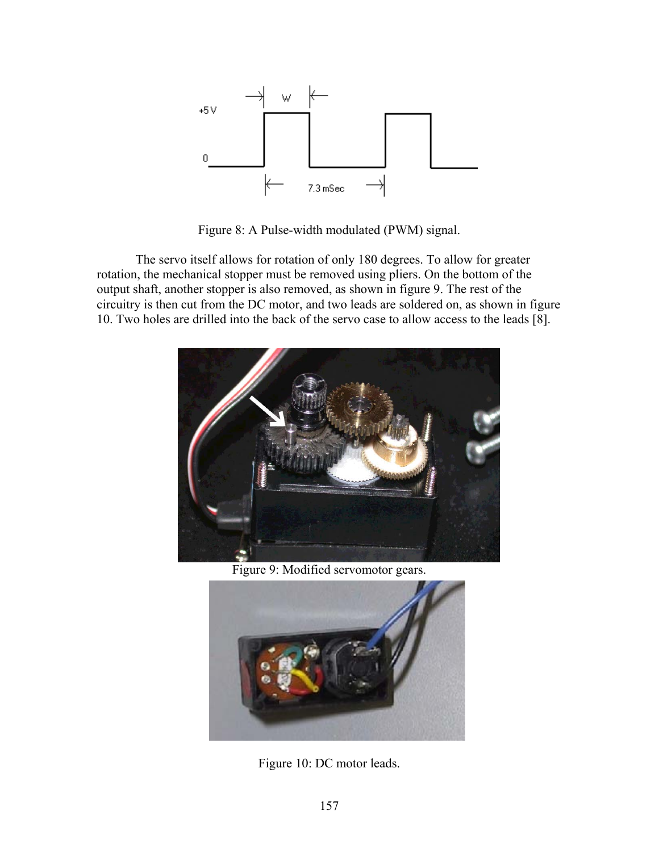

Figure 8: A Pulse-width modulated (PWM) signal.

The servo itself allows for rotation of only 180 degrees. To allow for greater rotation, the mechanical stopper must be removed using pliers. On the bottom of the output shaft, another stopper is also removed, as shown in figure 9. The rest of the circuitry is then cut from the DC motor, and two leads are soldered on, as shown in figure 10. Two holes are drilled into the back of the servo case to allow access to the leads [8].



Figure 9: Modified servomotor gears.



Figure 10: DC motor leads.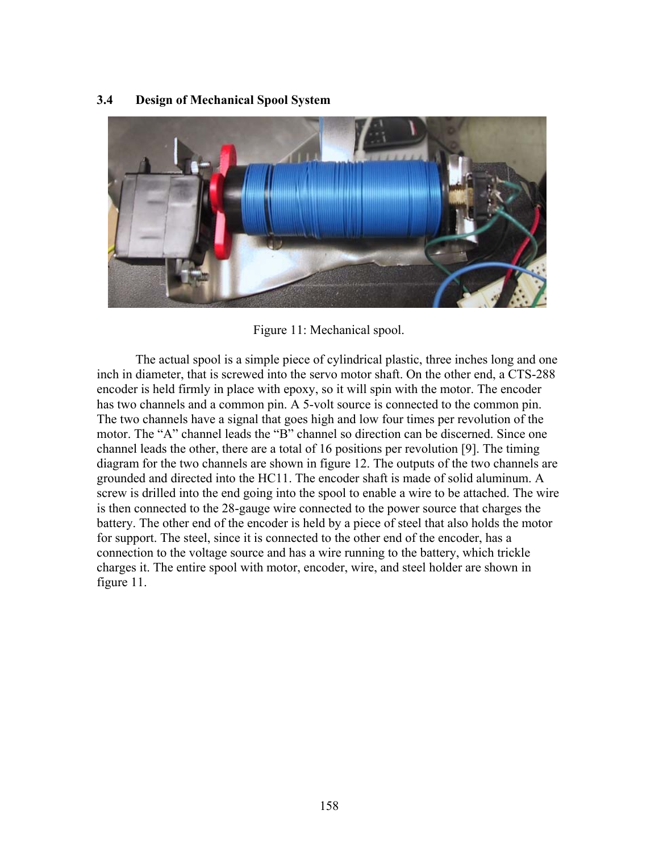### **3.4 Design of Mechanical Spool System**



Figure 11: Mechanical spool.

The actual spool is a simple piece of cylindrical plastic, three inches long and one inch in diameter, that is screwed into the servo motor shaft. On the other end, a CTS-288 encoder is held firmly in place with epoxy, so it will spin with the motor. The encoder has two channels and a common pin. A 5-volt source is connected to the common pin. The two channels have a signal that goes high and low four times per revolution of the motor. The "A" channel leads the "B" channel so direction can be discerned. Since one channel leads the other, there are a total of 16 positions per revolution [9]. The timing diagram for the two channels are shown in figure 12. The outputs of the two channels are grounded and directed into the HC11. The encoder shaft is made of solid aluminum. A screw is drilled into the end going into the spool to enable a wire to be attached. The wire is then connected to the 28-gauge wire connected to the power source that charges the battery. The other end of the encoder is held by a piece of steel that also holds the motor for support. The steel, since it is connected to the other end of the encoder, has a connection to the voltage source and has a wire running to the battery, which trickle charges it. The entire spool with motor, encoder, wire, and steel holder are shown in figure 11.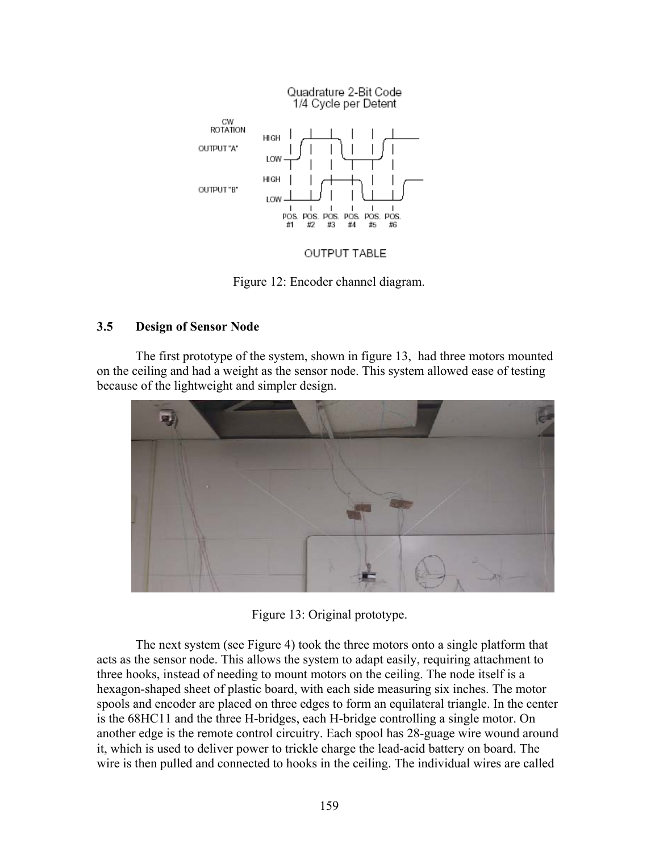

OUTPUT TABLE

Figure 12: Encoder channel diagram.

## **3.5 Design of Sensor Node**

The first prototype of the system, shown in figure 13, had three motors mounted on the ceiling and had a weight as the sensor node. This system allowed ease of testing because of the lightweight and simpler design.



Figure 13: Original prototype.

The next system (see Figure 4) took the three motors onto a single platform that acts as the sensor node. This allows the system to adapt easily, requiring attachment to three hooks, instead of needing to mount motors on the ceiling. The node itself is a hexagon-shaped sheet of plastic board, with each side measuring six inches. The motor spools and encoder are placed on three edges to form an equilateral triangle. In the center is the 68HC11 and the three H-bridges, each H-bridge controlling a single motor. On another edge is the remote control circuitry. Each spool has 28-guage wire wound around it, which is used to deliver power to trickle charge the lead-acid battery on board. The wire is then pulled and connected to hooks in the ceiling. The individual wires are called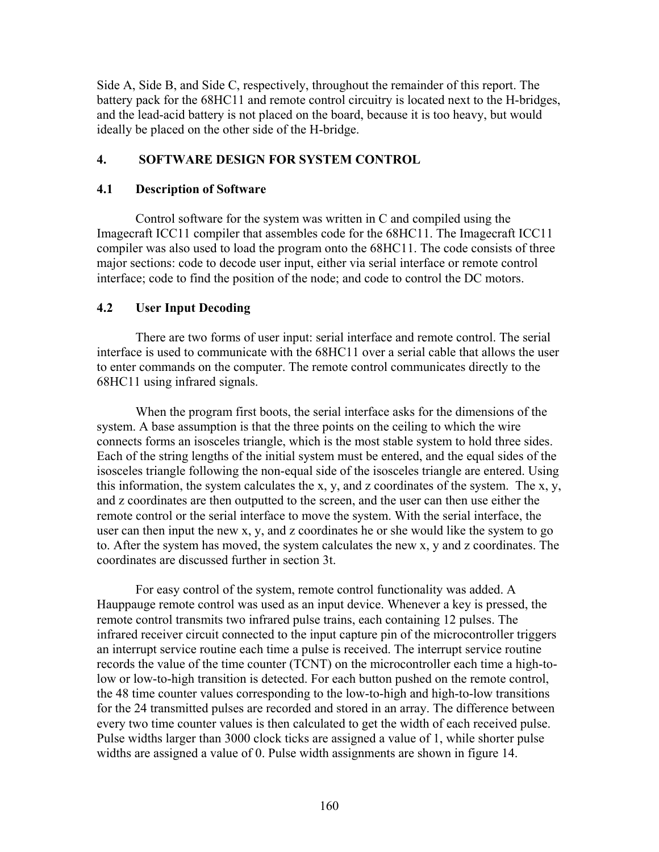Side A, Side B, and Side C, respectively, throughout the remainder of this report. The battery pack for the 68HC11 and remote control circuitry is located next to the H-bridges, and the lead-acid battery is not placed on the board, because it is too heavy, but would ideally be placed on the other side of the H-bridge.

## **4. SOFTWARE DESIGN FOR SYSTEM CONTROL**

### **4.1 Description of Software**

Control software for the system was written in C and compiled using the Imagecraft ICC11 compiler that assembles code for the 68HC11. The Imagecraft ICC11 compiler was also used to load the program onto the 68HC11. The code consists of three major sections: code to decode user input, either via serial interface or remote control interface; code to find the position of the node; and code to control the DC motors.

## **4.2 User Input Decoding**

There are two forms of user input: serial interface and remote control. The serial interface is used to communicate with the 68HC11 over a serial cable that allows the user to enter commands on the computer. The remote control communicates directly to the 68HC11 using infrared signals.

When the program first boots, the serial interface asks for the dimensions of the system. A base assumption is that the three points on the ceiling to which the wire connects forms an isosceles triangle, which is the most stable system to hold three sides. Each of the string lengths of the initial system must be entered, and the equal sides of the isosceles triangle following the non-equal side of the isosceles triangle are entered. Using this information, the system calculates the x, y, and z coordinates of the system. The x, y, and z coordinates are then outputted to the screen, and the user can then use either the remote control or the serial interface to move the system. With the serial interface, the user can then input the new x, y, and z coordinates he or she would like the system to go to. After the system has moved, the system calculates the new x, y and z coordinates. The coordinates are discussed further in section 3t.

For easy control of the system, remote control functionality was added. A Hauppauge remote control was used as an input device. Whenever a key is pressed, the remote control transmits two infrared pulse trains, each containing 12 pulses. The infrared receiver circuit connected to the input capture pin of the microcontroller triggers an interrupt service routine each time a pulse is received. The interrupt service routine records the value of the time counter (TCNT) on the microcontroller each time a high-tolow or low-to-high transition is detected. For each button pushed on the remote control, the 48 time counter values corresponding to the low-to-high and high-to-low transitions for the 24 transmitted pulses are recorded and stored in an array. The difference between every two time counter values is then calculated to get the width of each received pulse. Pulse widths larger than 3000 clock ticks are assigned a value of 1, while shorter pulse widths are assigned a value of 0. Pulse width assignments are shown in figure 14.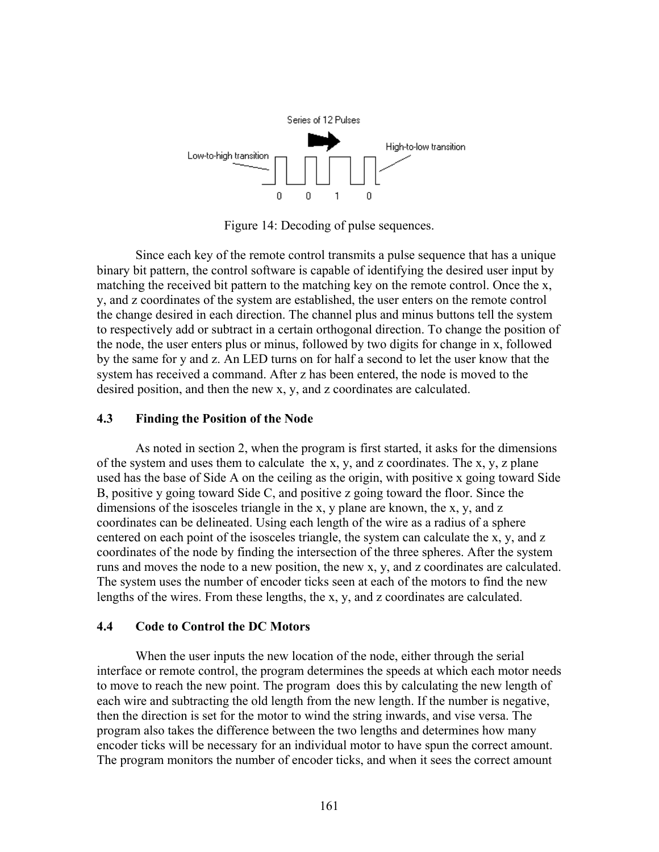

Figure 14: Decoding of pulse sequences.

Since each key of the remote control transmits a pulse sequence that has a unique binary bit pattern, the control software is capable of identifying the desired user input by matching the received bit pattern to the matching key on the remote control. Once the x, y, and z coordinates of the system are established, the user enters on the remote control the change desired in each direction. The channel plus and minus buttons tell the system to respectively add or subtract in a certain orthogonal direction. To change the position of the node, the user enters plus or minus, followed by two digits for change in x, followed by the same for y and z. An LED turns on for half a second to let the user know that the system has received a command. After z has been entered, the node is moved to the desired position, and then the new x, y, and z coordinates are calculated.

### **4.3 Finding the Position of the Node**

As noted in section 2, when the program is first started, it asks for the dimensions of the system and uses them to calculate the x, y, and z coordinates. The x, y, z plane used has the base of Side A on the ceiling as the origin, with positive x going toward Side B, positive y going toward Side C, and positive z going toward the floor. Since the dimensions of the isosceles triangle in the x, y plane are known, the x, y, and z coordinates can be delineated. Using each length of the wire as a radius of a sphere centered on each point of the isosceles triangle, the system can calculate the x, y, and z coordinates of the node by finding the intersection of the three spheres. After the system runs and moves the node to a new position, the new x, y, and z coordinates are calculated. The system uses the number of encoder ticks seen at each of the motors to find the new lengths of the wires. From these lengths, the x, y, and z coordinates are calculated.

### **4.4 Code to Control the DC Motors**

When the user inputs the new location of the node, either through the serial interface or remote control, the program determines the speeds at which each motor needs to move to reach the new point. The program does this by calculating the new length of each wire and subtracting the old length from the new length. If the number is negative, then the direction is set for the motor to wind the string inwards, and vise versa. The program also takes the difference between the two lengths and determines how many encoder ticks will be necessary for an individual motor to have spun the correct amount. The program monitors the number of encoder ticks, and when it sees the correct amount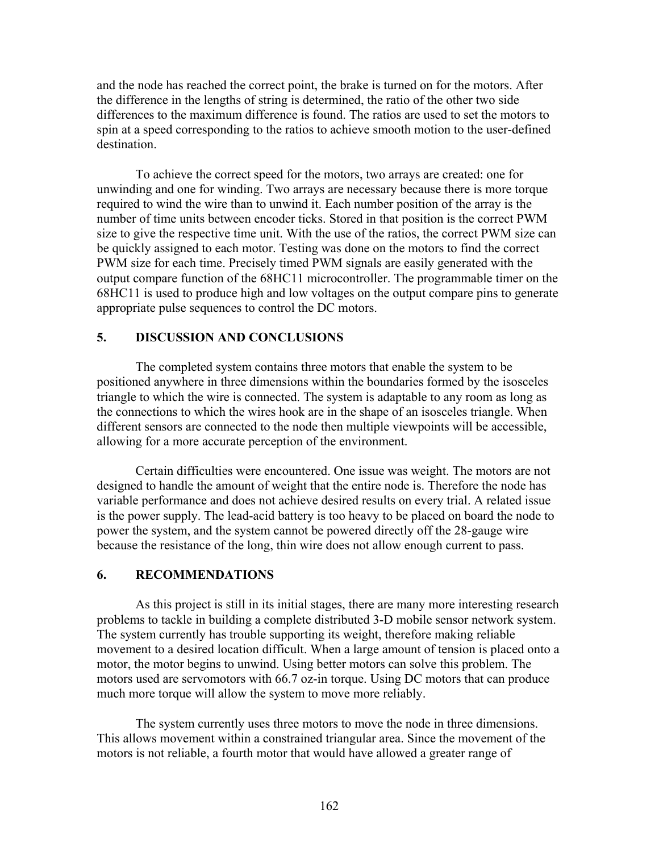and the node has reached the correct point, the brake is turned on for the motors. After the difference in the lengths of string is determined, the ratio of the other two side differences to the maximum difference is found. The ratios are used to set the motors to spin at a speed corresponding to the ratios to achieve smooth motion to the user-defined destination.

To achieve the correct speed for the motors, two arrays are created: one for unwinding and one for winding. Two arrays are necessary because there is more torque required to wind the wire than to unwind it. Each number position of the array is the number of time units between encoder ticks. Stored in that position is the correct PWM size to give the respective time unit. With the use of the ratios, the correct PWM size can be quickly assigned to each motor. Testing was done on the motors to find the correct PWM size for each time. Precisely timed PWM signals are easily generated with the output compare function of the 68HC11 microcontroller. The programmable timer on the 68HC11 is used to produce high and low voltages on the output compare pins to generate appropriate pulse sequences to control the DC motors.

## **5. DISCUSSION AND CONCLUSIONS**

The completed system contains three motors that enable the system to be positioned anywhere in three dimensions within the boundaries formed by the isosceles triangle to which the wire is connected. The system is adaptable to any room as long as the connections to which the wires hook are in the shape of an isosceles triangle. When different sensors are connected to the node then multiple viewpoints will be accessible, allowing for a more accurate perception of the environment.

Certain difficulties were encountered. One issue was weight. The motors are not designed to handle the amount of weight that the entire node is. Therefore the node has variable performance and does not achieve desired results on every trial. A related issue is the power supply. The lead-acid battery is too heavy to be placed on board the node to power the system, and the system cannot be powered directly off the 28-gauge wire because the resistance of the long, thin wire does not allow enough current to pass.

### **6. RECOMMENDATIONS**

As this project is still in its initial stages, there are many more interesting research problems to tackle in building a complete distributed 3-D mobile sensor network system. The system currently has trouble supporting its weight, therefore making reliable movement to a desired location difficult. When a large amount of tension is placed onto a motor, the motor begins to unwind. Using better motors can solve this problem. The motors used are servomotors with 66.7 oz-in torque. Using DC motors that can produce much more torque will allow the system to move more reliably.

The system currently uses three motors to move the node in three dimensions. This allows movement within a constrained triangular area. Since the movement of the motors is not reliable, a fourth motor that would have allowed a greater range of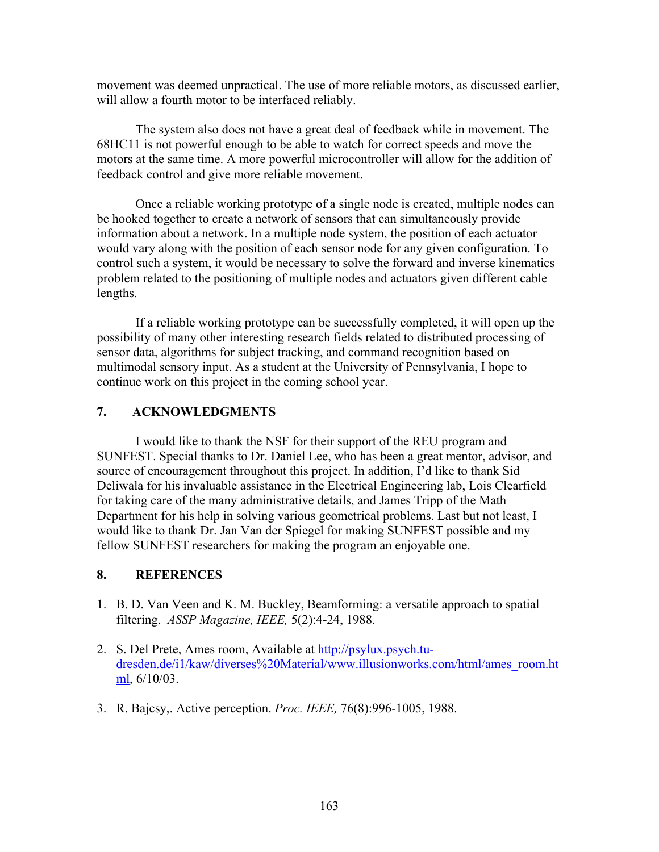movement was deemed unpractical. The use of more reliable motors, as discussed earlier, will allow a fourth motor to be interfaced reliably.

The system also does not have a great deal of feedback while in movement. The 68HC11 is not powerful enough to be able to watch for correct speeds and move the motors at the same time. A more powerful microcontroller will allow for the addition of feedback control and give more reliable movement.

Once a reliable working prototype of a single node is created, multiple nodes can be hooked together to create a network of sensors that can simultaneously provide information about a network. In a multiple node system, the position of each actuator would vary along with the position of each sensor node for any given configuration. To control such a system, it would be necessary to solve the forward and inverse kinematics problem related to the positioning of multiple nodes and actuators given different cable lengths.

If a reliable working prototype can be successfully completed, it will open up the possibility of many other interesting research fields related to distributed processing of sensor data, algorithms for subject tracking, and command recognition based on multimodal sensory input. As a student at the University of Pennsylvania, I hope to continue work on this project in the coming school year.

## **7. ACKNOWLEDGMENTS**

I would like to thank the NSF for their support of the REU program and SUNFEST. Special thanks to Dr. Daniel Lee, who has been a great mentor, advisor, and source of encouragement throughout this project. In addition, I'd like to thank Sid Deliwala for his invaluable assistance in the Electrical Engineering lab, Lois Clearfield for taking care of the many administrative details, and James Tripp of the Math Department for his help in solving various geometrical problems. Last but not least, I would like to thank Dr. Jan Van der Spiegel for making SUNFEST possible and my fellow SUNFEST researchers for making the program an enjoyable one.

## **8. REFERENCES**

- 1. B. D. Van Veen and K. M. Buckley, Beamforming: a versatile approach to spatial filtering. *ASSP Magazine, IEEE,* 5(2):4-24, 1988.
- 2. S. Del Prete, Ames room, Available at http://psylux.psych.tudresden.de/i1/kaw/diverses%20Material/www.illusionworks.com/html/ames\_room.ht ml, 6/10/03.
- 3. R. Bajcsy,. Active perception. *Proc. IEEE,* 76(8):996-1005, 1988.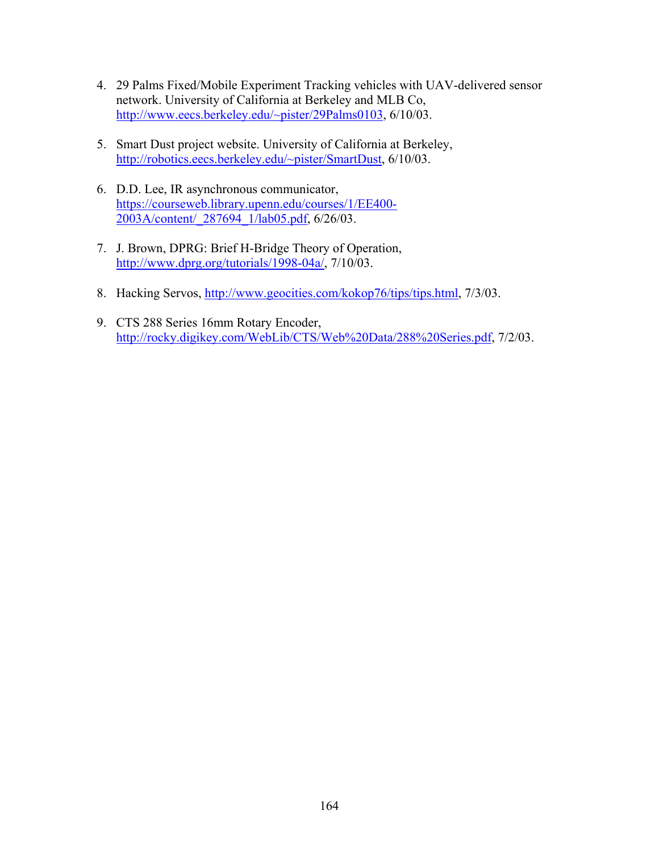- 4. 29 Palms Fixed/Mobile Experiment Tracking vehicles with UAV-delivered sensor network. University of California at Berkeley and MLB Co, http://www.eecs.berkeley.edu/~pister/29Palms0103, 6/10/03.
- 5. Smart Dust project website. University of California at Berkeley, http://robotics.eecs.berkeley.edu/~pister/SmartDust, 6/10/03.
- 6. D.D. Lee, IR asynchronous communicator, https://courseweb.library.upenn.edu/courses/1/EE400- 2003A/content/\_287694\_1/lab05.pdf, 6/26/03.
- 7. J. Brown, DPRG: Brief H-Bridge Theory of Operation, http://www.dprg.org/tutorials/1998-04a/, 7/10/03.
- 8. Hacking Servos, http://www.geocities.com/kokop76/tips/tips.html, 7/3/03.
- 9. CTS 288 Series 16mm Rotary Encoder, http://rocky.digikey.com/WebLib/CTS/Web%20Data/288%20Series.pdf, 7/2/03.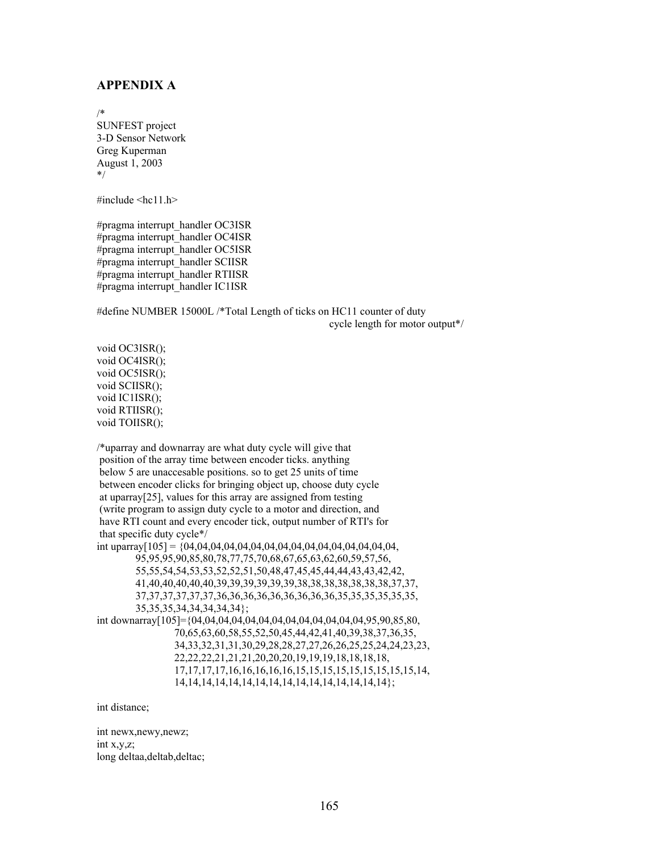#### **APPENDIX A**

/\*

SUNFEST project 3-D Sensor Network Greg Kuperman August 1, 2003 \*/

#include <hc11.h>

#pragma interrupt\_handler OC3ISR #pragma interrupt\_handler OC4ISR #pragma interrupt\_handler OC5ISR #pragma interrupt\_handler SCIISR #pragma interrupt\_handler RTIISR #pragma interrupt\_handler IC1ISR

#define NUMBER 15000L /\*Total Length of ticks on HC11 counter of duty cycle length for motor output\*/

void OC3ISR(); void OC4ISR(); void OC5ISR(); void SCIISR(); void IC1ISR(); void RTIISR(); void TOIISR();

/\*uparray and downarray are what duty cycle will give that position of the array time between encoder ticks. anything below 5 are unaccesable positions. so to get 25 units of time between encoder clicks for bringing object up, choose duty cycle at uparray[25], values for this array are assigned from testing (write program to assign duty cycle to a motor and direction, and have RTI count and every encoder tick, output number of RTI's for that specific duty cycle\*/ int uparray[105] = {04,04,04,04,04,04,04,04,04,04,04,04,04,04,04,04,

 95,95,95,90,85,80,78,77,75,70,68,67,65,63,62,60,59,57,56, 55,55,54,54,53,53,52,52,51,50,48,47,45,45,44,44,43,43,42,42, 41,40,40,40,40,40,39,39,39,39,39,39,38,38,38,38,38,38,38,37,37, 37,37,37,37,37,37,36,36,36,36,36,36,36,36,36,35,35,35,35,35,35, 35,35,35,34,34,34,34,34};

int downarray[105]={04,04,04,04,04,04,04,04,04,04,04,04,04,95,90,85,80, 70,65,63,60,58,55,52,50,45,44,42,41,40,39,38,37,36,35, 34,33,32,31,31,30,29,28,28,27,27,26,26,25,25,24,24,23,23, 22,22,22,21,21,21,20,20,20,19,19,19,18,18,18,18, 17,17,17,17,16,16,16,16,16,15,15,15,15,15,15,15,15,15,14, 14,14,14,14,14,14,14,14,14,14,14,14,14,14,14,14};

int distance;

int newx,newy,newz; int x,y,z; long deltaa,deltab,deltac;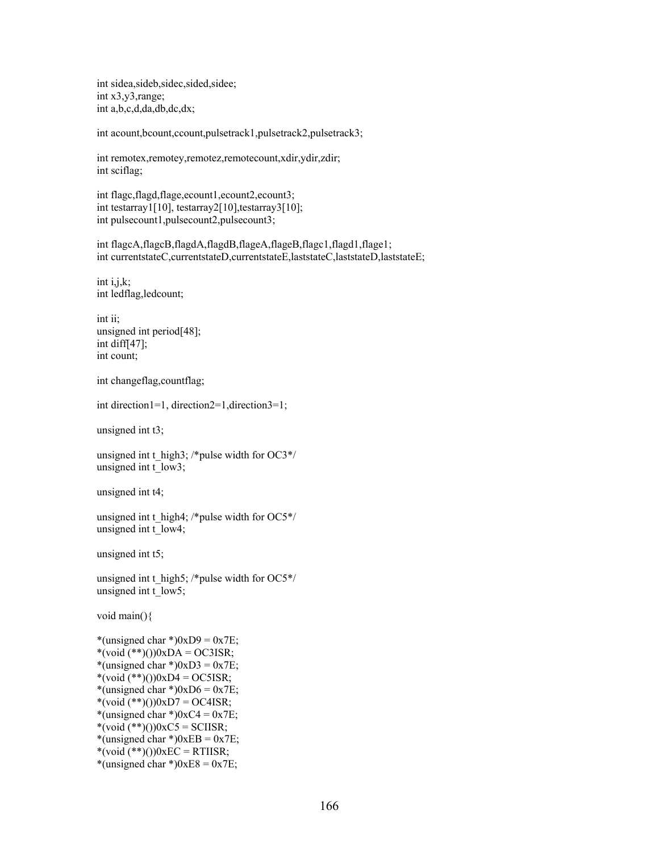int sidea,sideb,sidec,sided,sidee; int x3,y3,range; int a,b,c,d,da,db,dc,dx;

int acount,bcount,ccount,pulsetrack1,pulsetrack2,pulsetrack3;

int remotex,remotey,remotez,remotecount,xdir,ydir,zdir; int sciflag;

int flagc,flagd,flage,ecount1,ecount2,ecount3; int testarray1[10], testarray2[10], testarray3[10]; int pulsecount1,pulsecount2,pulsecount3;

int flagcA,flagcB,flagdA,flagdB,flageA,flageB,flagc1,flagd1,flage1; int currentstateC,currentstateD,currentstateE,laststateC,laststateD,laststateE;

int i,j,k; int ledflag,ledcount;

int ii; unsigned int period[48]; int diff[47]; int count;

int changeflag,countflag;

int direction1=1, direction2=1,direction3=1;

unsigned int t3;

unsigned int t\_ high3; /\*pulse width for  $OC3*/$ unsigned int t\_low3;

unsigned int t4;

unsigned int t\_ high4; /\*pulse width for  $OC5*/$ unsigned int t\_low4;

unsigned int t5;

unsigned int t\_high5; /\*pulse width for OC5\*/ unsigned int t\_low5;

void main(){

\*(unsigned char \*) $0xD9 = 0x7E$ ;  $*(\text{void } (**)())0 \times DA = OC3ISR;$ \*(unsigned char \*) $0xD3 = 0x7E$ ;  $*(\text{void } (**)())0 \times D4 = OCSISR;$ \*(unsigned char \*) $0xD6 = 0x7E$ ;  $*(\text{void } (**)())0xD7 = OC4ISR;$ \*(unsigned char \*) $0xC4 = 0x7E$ ; \*(void  $(**)()$ ) $0xC5 = SCIISR;$ \*(unsigned char \*) $0xEB = 0x7E$ ;  $*(\text{void } (**)())0 \times EC = RTIISR;$ \*(unsigned char \*) $0xE8 = 0x7E$ ;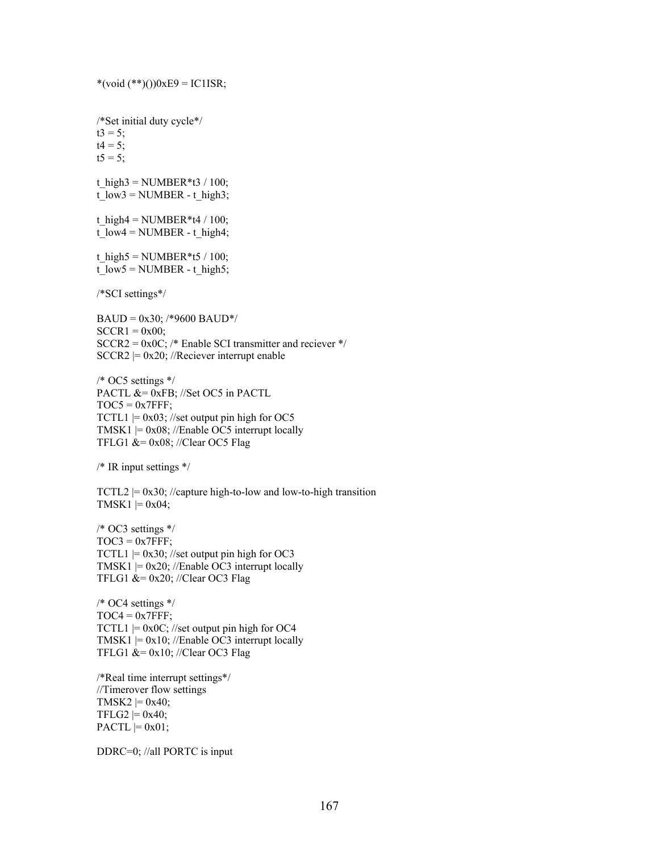/\*Set initial duty cycle\*/  $t3 = 5$ ;  $t4 = 5;$  $t5 = 5$ ; t\_high3 = NUMBER\*t3 / 100;  $t_l = NUMBER - t_l = high3;$ t\_high4 = NUMBER\*t4 / 100; t\_low4 = NUMBER - t\_high4; t\_high5 = NUMBER\*t5 / 100; t\_low5 = NUMBER - t\_high5; /\*SCI settings\*/  $BAUD = 0x30$ ; /\*9600 BAUD\*/  $SCCR1 = 0x00;$  $SCCR2 = 0x0C$ ; /\* Enable SCI transmitter and reciever \*/  $SCCR2 = 0x20$ ; //Reciever interrupt enable /\* OC5 settings \*/ PACTL &= 0xFB; //Set OC5 in PACTL  $TOC5 = 0x7FFF;$  $TCTL1$  = 0x03; //set output pin high for OC5 TMSK1  $= 0x08$ ; //Enable OC5 interrupt locally TFLG1  $&= 0x08$ ; //Clear OC5 Flag /\* IR input settings \*/ TCTL2  $= 0x30$ ; //capture high-to-low and low-to-high transition TMSK1  $= 0x04$ ; /\* OC3 settings \*/  $TOC3 = 0x7FFF;$ TCTL1  $= 0x30$ ; //set output pin high for OC3 TMSK1  $= 0x20$ ; //Enable OC3 interrupt locally TFLG1 &=  $0x20$ ; //Clear OC3 Flag /\* OC4 settings \*/  $TOC4 = 0x7FFF;$  $TCTL1$  = 0x0C; //set output pin high for OC4 TMSK1  $= 0x10$ ; //Enable OC3 interrupt locally TFLG1  $&= 0x10$ ; //Clear OC3 Flag /\*Real time interrupt settings\*/ //Timerover flow settings TMSK2  $= 0x40$ ;  $TFLG2 \models 0x40;$  $PACTL \models 0x01;$ 

 $*(\text{void } (**)())0xE9 = IC1ISR;$ 

DDRC=0; //all PORTC is input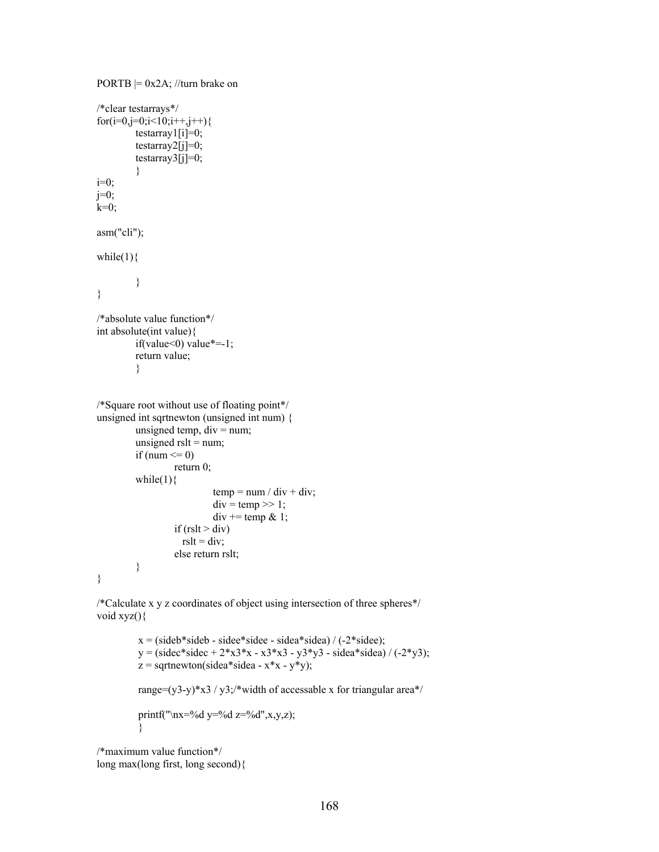```
PORTB = 0x2A; //turn brake on
/*clear testarrays*/ 
for(i=0,j=0;i<10;i++,j++){
         testarray1[i]=0;testarray2[j]=0;testarray3[j]=0; } 
i=0;j=0;
k=0;
asm("cli"); 
while(1)\{ } 
} 
/*absolute value function*/ 
int absolute(int value){ 
         if(value<0) value*=-1;
          return value; 
          } 
/*Square root without use of floating point*/ 
unsigned int sqrtnewton (unsigned int num) { 
         unsigned temp, div = num;
         unsigned rslt = num;
         if (num \leq 0)
                   return 0; 
         while(1)\{temp = num / div + div;div = temp \gg 1;
                            div == temp & 1;if (rslt > div)
                    rslt = div;
                   else return rslt; 
          } 
}
```
/\*Calculate x y z coordinates of object using intersection of three spheres\*/ void xyz(){

> $x = (sideb * side + side * side + side * side) / (-2 * side);$  $y = (sidec * sidec + 2*x3*x - x3*x3 - y3*y3 - sidea * sidea) / (-2*y3);$  $z =$  sqrtnewton(sidea\*sidea -  $x * x - y * y$ ); range=(y3-y)\*x3 / y3;/\*width of accessable x for triangular area\*/ printf("\nx=%d y=%d z=%d",x,y,z); }

/\*maximum value function\*/ long max(long first, long second){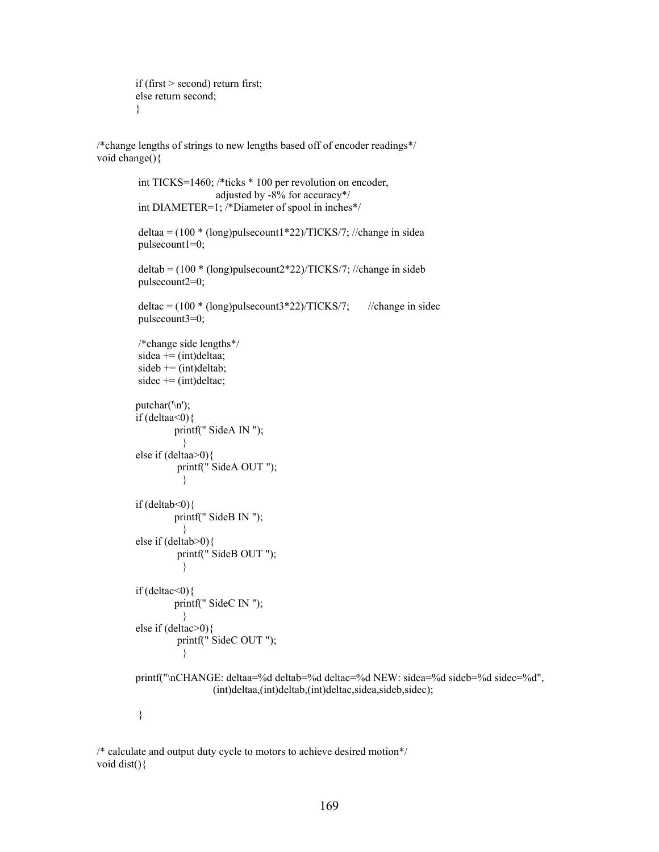```
 if (first > second) return first; 
 else return second; 
 }
```
/\*change lengths of strings to new lengths based off of encoder readings\*/ void change(){

```
 int TICKS=1460; /*ticks * 100 per revolution on encoder, 
                          adjusted by -8% for accuracy*/ 
         int DIAMETER=1; /*Diameter of spool in inches*/ 
        deltaa = (100 * (long)pulsecount1*22)/TICKS/7; //change in sidea
         pulsecount1=0; 
        delta = (100 * (long) pulsecount2*22)/TICKS/7; // change in sideb pulsecount2=0; 
        delta = (100 * (long) \text{pulse} \times 22) / TICKS/7; //change in sidec
         pulsecount3=0; 
         /*change side lengths*/ 
        sidea += (int)delta:
        sideb \nightharpoonup = (int) delta;sidec \neq (int) delta;
       putchar(\ln);
       if (deltaa<0) printf(" SideA IN "); 
 } 
        else if (deltaa>0){ 
                printf(" SideA OUT ");
 } 
       if (deltab<0){
                printf(" SideB IN ");
 } 
        else if (deltab>0){ 
                 printf(" SideB OUT "); 
 } 
       if (deltac<0){
                printf(" SideC IN ");
 } 
        else if (deltac>0){ 
                 printf(" SideC OUT "); 
 } 
        printf("\nCHANGE: deltaa=%d deltab=%d deltac=%d NEW: sidea=%d sideb=%d sidec=%d", 
                         (int)deltaa,(int)deltab,(int)deltac,sidea,sideb,sidec); 
         }
```
/\* calculate and output duty cycle to motors to achieve desired motion\*/ void dist(){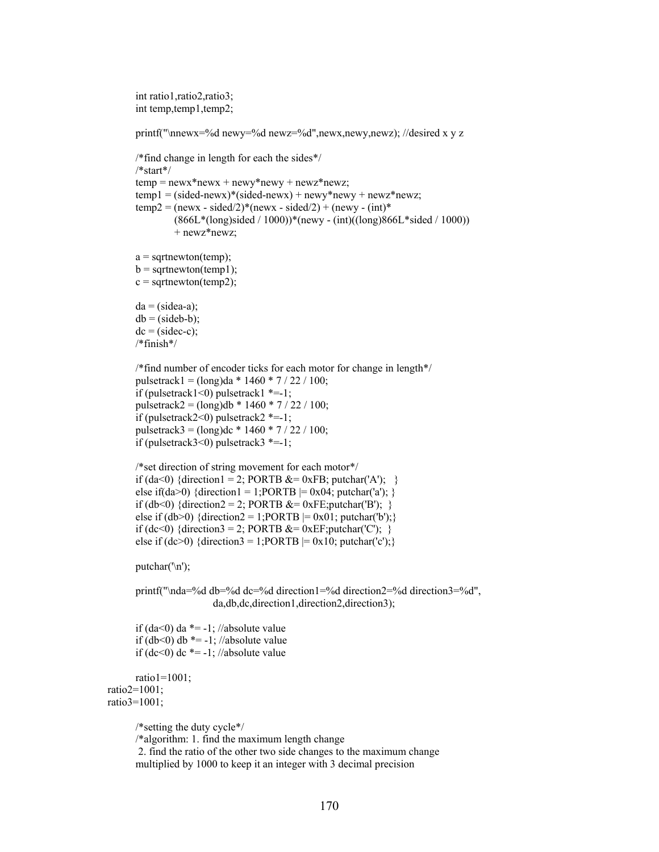```
 int ratio1,ratio2,ratio3; 
 int temp,temp1,temp2;
```
printf("\nnewx=%d newy=%d newz=%d",newx,newy,newz); //desired x y z

```
 /*find change in length for each the sides*/ 
 /*start*/ 
temp = newx*newx + newy*newy + newz*newz;temp1 = (sided-newx)*(sided-newx) + newy*newy + newz*newz;temp2 = (newx - sided/2)*(newx - sided/2) + (newy - (int)* (866L*(long)sided / 1000))*(newy - (int)((long)866L*sided / 1000)) 
          + newz*newz; 
a = sqrtnewton(temp);
b =sqrtnewton(temp1);
c = sqrtnewton(temp2);
da = (sidea-a);db = (sideb-b);dc = (sidec-c); /*finish*/ 
 /*find number of encoder ticks for each motor for change in length*/ 
pulsetrack1 = (\text{long})\text{da} * 1460 * 7 / 22 / 100;if (pulsetrack1<0) pulsetrack1 *=1;
pulsetrack2 = (\text{long})db * 1460 * 7 / 22 / 100;
if (pulsetrack2<0) pulsetrack2 *=1;
 pulsetrack3 = (long)dc * 1460 * 7 / 22 / 100; 
if (pulsetrack3<0) pulsetrack3 *=1;
 /*set direction of string movement for each motor*/ 
if (da<0) {direction1 = 2; PORTB &= 0xFB; putchar('A'); }
else if(da>0) {direction1 = 1;PORTB = 0x04; putchar('a'); }
```

```
if (db<0) {direction2 = 2; PORTB &= 0xFE; putchar('B'); }
else if (db>0) {direction2 = 1;PORTB = 0x01; putchar('b');}
if (dc<0) {direction3 = 2; PORTB &= 0xEF; putchar('C'); }
else if (dc>0) {direction3 = 1;PORTB = 0x10; putchar('c');}
```
putchar('\n');

printf("\nda=%d db=%d dc=%d direction1=%d direction2=%d direction3=%d", da,db,dc,direction1,direction2,direction3);

if (da<0) da  $*$  = -1; //absolute value if (db<0) db  $*$  = -1; //absolute value if  $(dc<0)$  dc  $*=-1$ ; //absolute value

```
 ratio1=1001; 
 ratio2=1001; 
 ratio3=1001;
```
/\*setting the duty cycle\*/

/\*algorithm: 1. find the maximum length change

 2. find the ratio of the other two side changes to the maximum change multiplied by 1000 to keep it an integer with 3 decimal precision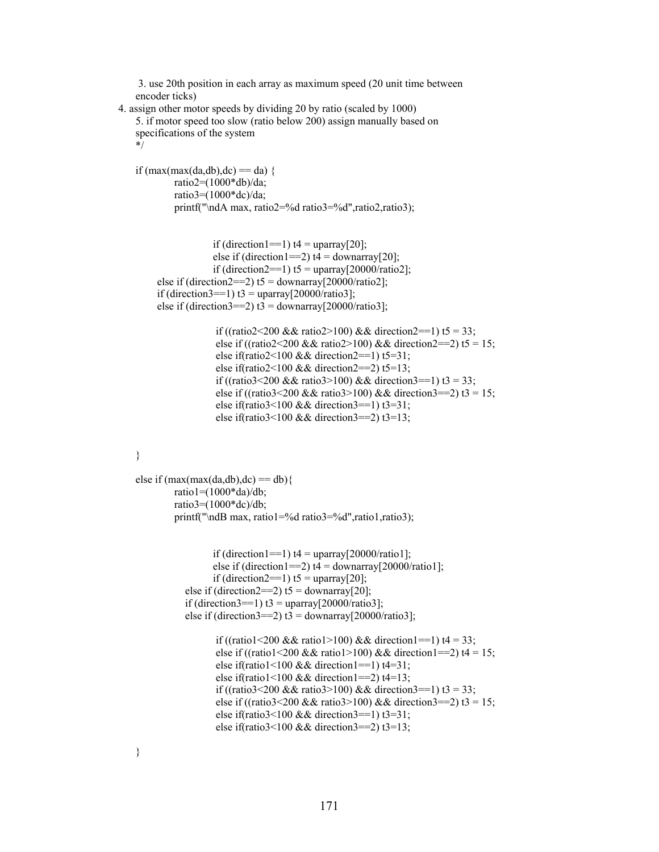```
 3. use 20th position in each array as maximum speed (20 unit time between 
 encoder ticks)
```

```
 4. assign other motor speeds by dividing 20 by ratio (scaled by 1000) 
     5. if motor speed too slow (ratio below 200) assign manually based on 
    specifications of the system 
     */
```

```
if (max(max(da,db),dc) == da) ratio2=(1000*db)/da; 
         ratio3=(1000*dc)/da; 
         printf("\ndA max, ratio2=%d ratio3=%d",ratio2,ratio3);
```

```
if (direction1==1) t4 = \text{uparray}[20];
             else if (direction1==2) t4 =downarray[20];
             if (direction2==1) t5 = uparray[20000/ratio2];
else if (direction2==2) t5 = downarray[20000/ratio2];
if (direction3==1) t3 = uparray[20000/ratio3];
else if (direction3==2) t3 = downarray[20000/ratio3];
```

```
if ((ratio2<200 && ratio2>100) && direction2==1) t5 = 33;
else if ((ratio2<200 && ratio2>100) && direction2==2) t5 = 15;
else if(ratio2<100 && direction2==1) t5=31;
else if(ratio2<100 && direction2==2) t5=13;
if ((ratio3<200 && ratio3>100) && direction3==1) t3 = 33;
else if ((ratio3<200 && ratio3>100) && direction3==2) t3 = 15;
else if(ratio3<100 && direction3==1) t3=31;
else if(ratio3<100 && direction3==2) t3=13;
```

```
else if (max(max(da,db),dc) == db) ratio1=(1000*da)/db; 
         ratio3=(1000*dc)/db; 
         printf("\ndB max, ratio1=%d ratio3=%d",ratio1,ratio3);
```

```
if (direction1==1) t4 = \frac{\text{uparray}}{20000}{\text{ratio1}};
       else if (direction1==2) t4 =downarray[20000/ratio1];
       if (direction2==1) t5 = uparray[20];
else if (direction2==2) t5 = downarray[20];
if (direction3==1) t3 = uparray[20000/ratio3];
else if (direction3==2) t3 = downarray[20000/ratio3];
```

```
if ((ratio1<200 && ratio1>100) && direction1==1) t4 = 33;
else if ((ratio1<200 && ratio1>100) && direction1==2) t4 = 15;
else if(ratio1<100 && direction1==1) t4=31;
else if(ratio1<100 && direction1==2) t4=13;
if ((ratio3<200 && ratio3>100) && direction3==1) t3 = 33;
else if ((ratio3<200 && ratio3>100) && direction3==2) t3 = 15;
else if(ratio3<100 && direction3==1) t3=31;
else if(ratio3<100 && direction3==2) t3=13;
```
}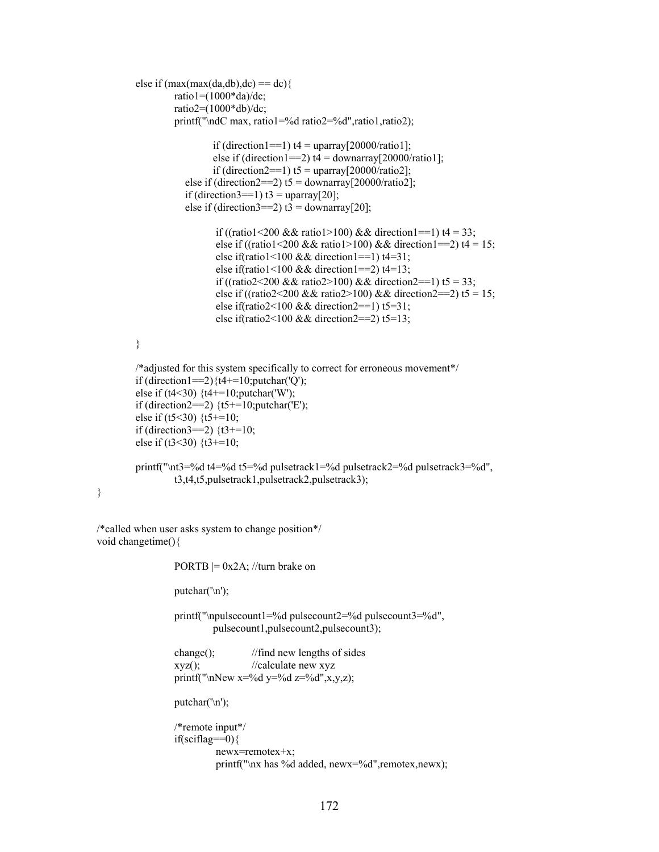```
else if (max(max(da,db),dc) == dc)ratio1 = (1000 * da)/de;
                   ratio2=(1000*db)/dc; 
                   printf("\ndC max, ratio1=%d ratio2=%d",ratio1,ratio2); 
                           if (direction1==1) t4 = \frac{\text{uparray}}{20000}{\text{ratio1}};
                           else if (direction1==2) t4 =downarray[20000/ratio1];
                           if (direction2==1) t5 = uparray[20000/ratio2];
                    else if (direction2==2) t5 = downarray[20000/ratio2];
                    if (direction3==1) t3 = uparray[20];
                    else if (direction3==2) t3 = downarray[20];
                           if ((ratio1<200 && ratio1>100) && direction1==1) t4 = 33;
                           else if ((ratio1<200 && ratio1>100) && direction1==2) t4 = 15;
                           else if(ratio1<100 && direction1==1) t4=31;
                           else if(ratio1<100 && direction1==2) t4=13;
                           if ((ratio2<200 && ratio2>100) && direction2==1) t5 = 33;
                           else if ((ratio2<200 && ratio2>100) && direction2==2) t5 = 15;
                            else if(ratio2<100 && direction2==1) t5=31; 
                           else if(ratio2<100 && direction2==2) t5=13;
          } 
         /*adjusted for this system specifically to correct for erroneous movement*/ 
         if (direction1==2)\{t4+=10;\text{putchar}('Q');\}else if (t4<30) {t4+=10;putchar('W');
         if (direction2==2) \{t5 == 10;\text{putchar}(E');\}else if (t5<30) \{t5 == 10;if (direction3==2) \{t3+10;else if (t3<30) \{t3 == 10; printf("\nt3=%d t4=%d t5=%d pulsetrack1=%d pulsetrack2=%d pulsetrack3=%d", 
                   t3,t4,t5,pulsetrack1,pulsetrack2,pulsetrack3); 
/*called when user asks system to change position*/ 
void changetime(){ 
                  PORTB = 0x2A; //turn brake on
                  putchar('\n');
                   printf("\npulsecount1=%d pulsecount2=%d pulsecount3=%d", 
                           pulsecount1,pulsecount2,pulsecount3); 
                   change(); //find new lengths of sides 
                  xyz(); //calculate new xyz
                  printf("\nNew x=%d y=%d z=%d",x,y,z);
                  putchar('\n');
                   /*remote input*/ 
                   if(sciflag==0){ 
                            newx=remotex+x; 
                           printf("\nx has %d added, newx=%d",remotex,newx);
```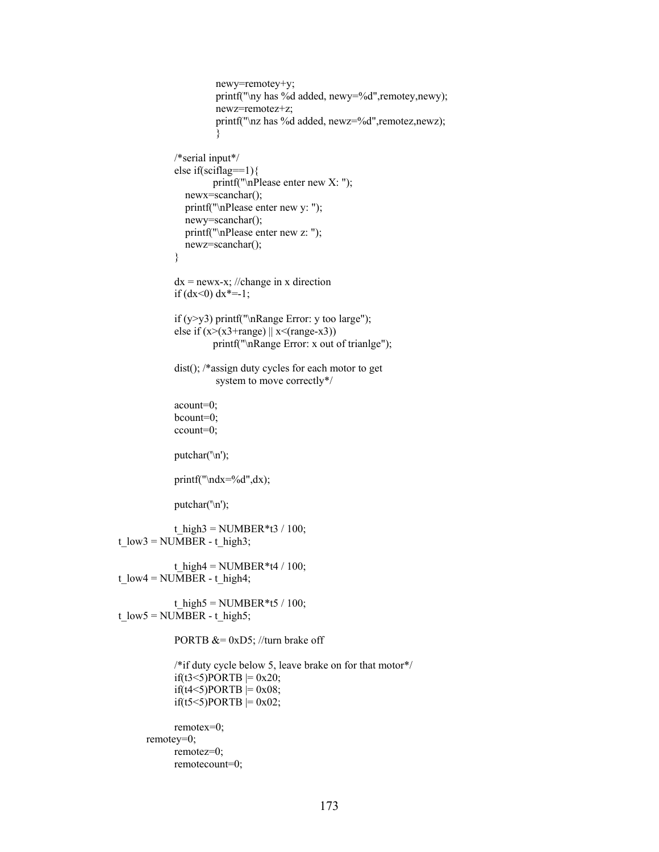```
 newy=remotey+y; 
                           printf("\ny has %d added, newy=%d",remotey,newy); 
                           newz=remotez+z; 
                           printf("\nz has %d added, newz=%d",remotez,newz); 
 } 
                  /*serial input*/ 
                  else if(sciflag==1){ 
                          printf("\nPlease enter new X: "); 
                    newx=scanchar(); 
                    printf("\nPlease enter new y: "); 
                    newy=scanchar(); 
                    printf("\nPlease enter new z: "); 
                    newz=scanchar(); 
 } 
                 dx = newx-x; //change in x direction
                 if (dx<0) dx^*=-1;
                  if (y>y3) printf("\nRange Error: y too large"); 
                 else if (x>(x^3+range) \parallel x<(range-x^3)) printf("\nRange Error: x out of trianlge"); 
                  dist(); /*assign duty cycles for each motor to get 
                           system to move correctly*/ 
                  acount=0; 
                  bcount=0; 
                  ccount=0; 
                  putchar('\n'); 
                  printf("\ndx=%d",dx); 
                  putchar('\n'); 
                 t_high3 = NUMBER*t3 / 100;
    t_l low3 = NUMBER - t_high3;
                 t_high4 = NUMBER*t4 / 100;
    t_l low4 = NUMBER - t_l high4;
                 t_high5 = NUMBER*t5 / 100;
    t_l low5 = NUMBER - t_high5;
                 PORTB &= 0xD5; //turn brake off
                  /*if duty cycle below 5, leave brake on for that motor*/ 
                 if(t3<5)PORTB = 0x20;
                 if(t4<5)PORTB = 0x08;
                 if(t5<5)PORTB = 0x02;
                  remotex=0; 
           remotey=0; 
                  remotez=0; 
                  remotecount=0;
```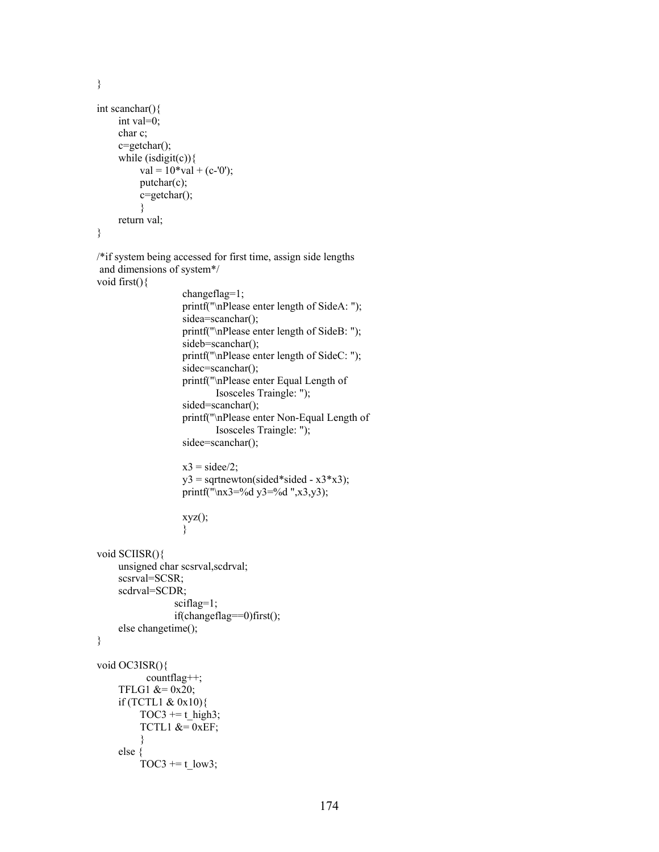```
int scanchar(){ 
      int val=0; 
      char c; 
      c=getchar(); 
     while (isdigit(c)){
           val = 10*val + (c-0');putchar(c);
            c=getchar(); 
            } 
      return val; 
}
```
/\*if system being accessed for first time, assign side lengths and dimensions of system\*/ void first(){

```
 changeflag=1; 
 printf("\nPlease enter length of SideA: "); 
sidea=scanchar();
 printf("\nPlease enter length of SideB: "); 
sideb=scanchar();
 printf("\nPlease enter length of SideC: "); 
sidec=scanchar();
 printf("\nPlease enter Equal Length of 
         Isosceles Traingle: "); 
sided=scanchar();
 printf("\nPlease enter Non-Equal Length of 
         Isosceles Traingle: "); 
sidee=scanchar();
x3 = sidee/2;y3 = sqrtnewton(sided*sided - x3*x3);
 printf("\nx3=%d y3=%d ",x3,y3); 
 xyz();
```

```
 }
```

```
void SCIISR(){ 
      unsigned char scsrval,scdrval; 
      scsrval=SCSR; 
      scdrval=SCDR; 
                  sciflag=1;
                   if(changeflag==0)first(); 
      else changetime(); 
}
```

```
void OC3ISR(){ 
          countflag++; 
    TFLG1 &= 0x20;
     if (TCTL1 & 0x10){ 
        TOC3 += t_high3;
        TCTL1 &= 0xEF; } 
     else { 
        TOC3 += t_low3;
```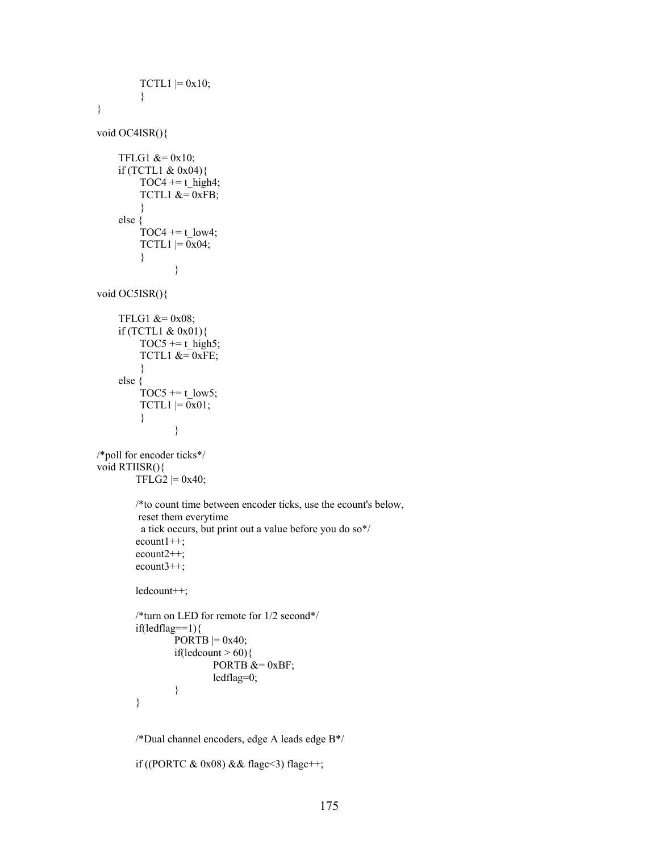```
TCTL1 = 0x10; } 
} 
void OC4ISR(){ 
    TFLG1 &= 0x10; if (TCTL1 & 0x04){ 
         TOC4 += t_high4;TCTL1 &=0xFB;
          } 
     else { 
         TOC4 += t_low4;
        TCTL1 = 0x04; } 
 } 
void OC5ISR(){ 
    TFLG1 &= 0x08;
     if (TCTL1 & 0x01){ 
         TOC5 += t_high5;
         TCTL1 &= 0xFE;
 } 
     else { 
         TOC5 += t low5;
         TCTL1 = 0x01; } 
 } 
/*poll for encoder ticks*/ 
void RTIISR(){ 
        TFLG2 \mid = 0x40; /*to count time between encoder ticks, use the ecount's below, 
         reset them everytime 
          a tick occurs, but print out a value before you do so*/ 
         ecount1++; 
         ecount2++; 
         ecount3++; 
         ledcount++; 
         /*turn on LED for remote for 1/2 second*/ 
        if(ledflag==1){
                \overline{PORTB} = 0x40;
                if(ledcount > 60){
                        PORTB &= 0xBF;
                         ledflag=0; 
 } 
         } 
         /*Dual channel encoders, edge A leads edge B*/ 
         if ((PORTC & 0x08) && flagc<3) flagc++;
```

```
175
```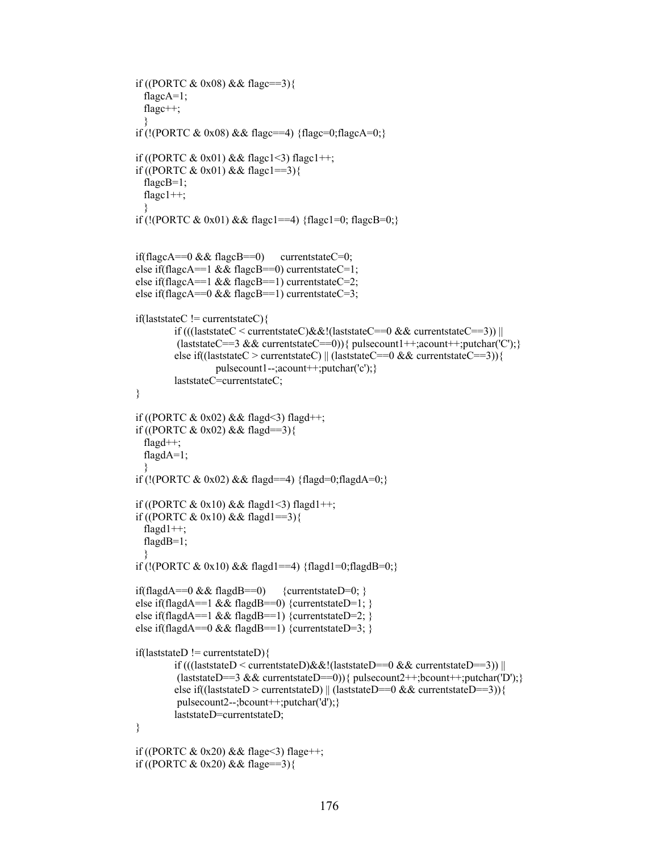```
 if ((PORTC & 0x08) && flagc==3){ 
         flagcA=1;
          flagc++; 
 } 
        if (!(PORTC & 0x08) && flagc==4) {flagc=0;flagcA=0;}
        if ((PORTC & 0x01) && flagc1<3) flagc1++;
        if ((PORTC & 0x01) && flagc1==3){
          flagcB=1; 
          flagc1++; 
 } 
        if (!(PORTC & 0x01) && flagc1==4) {flagc1=0; flagcB=0;}
        if(flagcA==0 \&\& flagcB==0) currentstateC=0;
        else if(flagcA==1 && flagcB==0) currentstateC=1;
        else if(flagcA==1 && flagcB==1) currentstateC=2;
        else if(flagcA==0 && flagcB==1) currentstateC=3;
         if(laststateC != currentstateC){ 
                if (((laststateC < currentstateC)&&!(laststateC==0 && currentstateC==3)) ||
                 (laststateC==3 && currentstateC==0)){    pulsecount1++;acount++;putchar('C');}
                else if((laststateC > currentstateC) || (laststateC==0 && currentstateC==3)){
                          pulsecount1--;acount++;putchar('c');} 
                 laststateC=currentstateC; 
\longrightarrowif ((PORTC & 0x02) & 0x04 flagd < 3) flagd + +;
        if ((PORTC & 0x02) && flagd==3){
          flagd++; 
          flagdA=1; 
 } 
        if (!(PORTC & 0x02) && flagd==4) {flagd=0;flagdA=0;}
        if ((PORTC & 0x10) && flagd1<3) flagd1++;
        if ((PORTC & 0x10) && flagd1==3){
          flagd1++; 
          flagdB=1; 
 } 
        if (!(PORTC & 0x10) && flagd1==4) {flagd1=0;flagdB=0;}
        if(flagdA==0 && flagdB==0) {currentstateD=0; }
         else if(flagdA==1 && flagdB==0) {currentstateD=1; } 
        else if(flagdA==1 && flagdB==1) {currentstateD=2; }
        else if(flagdA==0 && flagdB==1) {currentstateD=3; }
        if (laststateD != current stateD) if (((laststateD < currentstateD)&&!(laststateD==0 && currentstateD==3)) || 
                 (laststateD==3 && currentstateD==0)){ pulsecount2++;bcount++;putchar('D');}
                else if((laststateD > currentstateD) || (laststateD==0 && currentstateD==3)) {
                  pulsecount2--;bcount++;putchar('d');} 
                 laststateD=currentstateD; 
\longrightarrowif ((PORTC & 0x20) & 4x flage < 3) flage ++;
        if ((PORTC & 0x20) & 4x flage==3){
```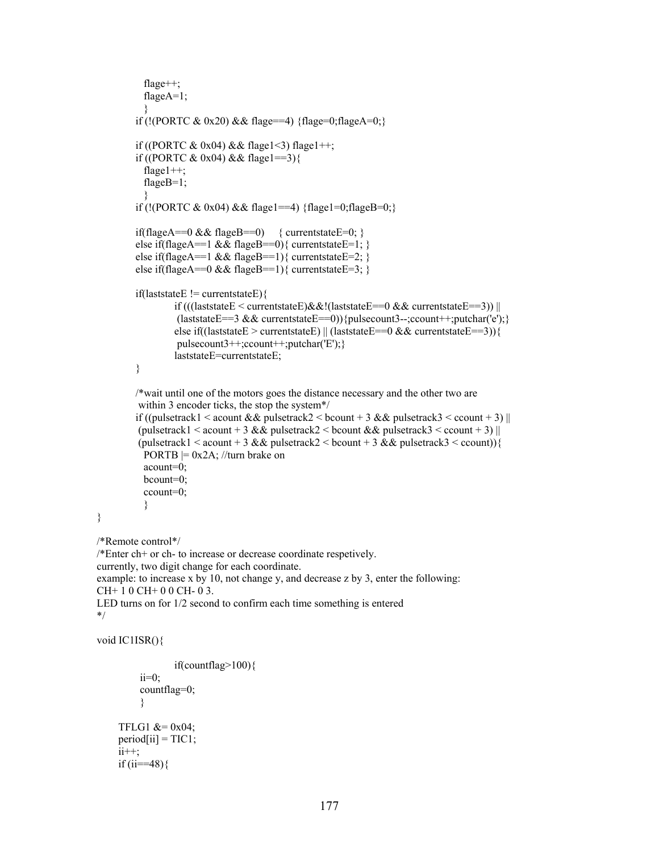```
 flage++; 
           flageA=1; 
 } 
         if (!(PORTC & 0x20) && flage==4) {flage=0;flageA=0;}
        if ((PORTC & 0x04) & 2x04 flage1<3) flage1++;
         if ((PORTC & 0x04) && flage1==3){
           flage1++; 
           flageB=1; 
            } 
        if (!(PORTC & 0x04) && flage1==4) {flage1=0;flageB=0;}
        if(flageA==0 && flageB==0) { current state E=0; }
        else if(flageA==1 && flageB==0){ currentstateE=1; }
         else if(flageA==1 && flageB==1){ currentstateE=2; }
        else if(flageA==0 && flageB==1){ currentstateE=3; }
         if (laststateE != current stateE)if (((laststateE < currentstateE)&&!(laststateE==0 && currentstateE==3)) ||
                  (laststateE==3 && currentstateE==0)){pulsecount3--;ccount++;putchar('e');}
                  else if((laststateE > currentstateE) || (laststateE==0 && currentstateE==3)){
                   pulsecount3++;ccount++;putchar('E');} 
                   laststateE=currentstateE; 
          } 
         /*wait until one of the motors goes the distance necessary and the other two are 
          within 3 encoder ticks, the stop the system*/ 
         if ((pulsetrack1 < acount \&& pulsetrack2 < bcount + 3 \&& pulsetrack3 < ccount + 3) ||
         (pulsetrack1 < acount + 3 && pulsetrack2 < bcount && pulsetrack3 < ccount + 3) ||
         (\text{pulsetrack1} < \text{acount} + 3 \& \& \text{pulsetrack2} < \text{bcount} + 3 \& \& \text{pulsetrack3} < \text{ccount})PORTB = 0x2A; //turn brake on
           acount=0; 
           bcount=0; 
           ccount=0; 
 } 
/*Remote control*/ 
/*Enter ch+ or ch- to increase or decrease coordinate respetively. 
currently, two digit change for each coordinate. 
example: to increase x by 10, not change y, and decrease z by 3, enter the following: 
CH+ 1 0 CH+ 0 0 CH- 0 3. 
LED turns on for 1/2 second to confirm each time something is entered 
void IC1ISR(){ 
                   if(countflag>100){ 
           ii=0; 
           countflag=0; 
           } 
     TFLG1 &= 0x04;
     period[i] = TIC1;ii++;
     if (i = 48)
```
\*/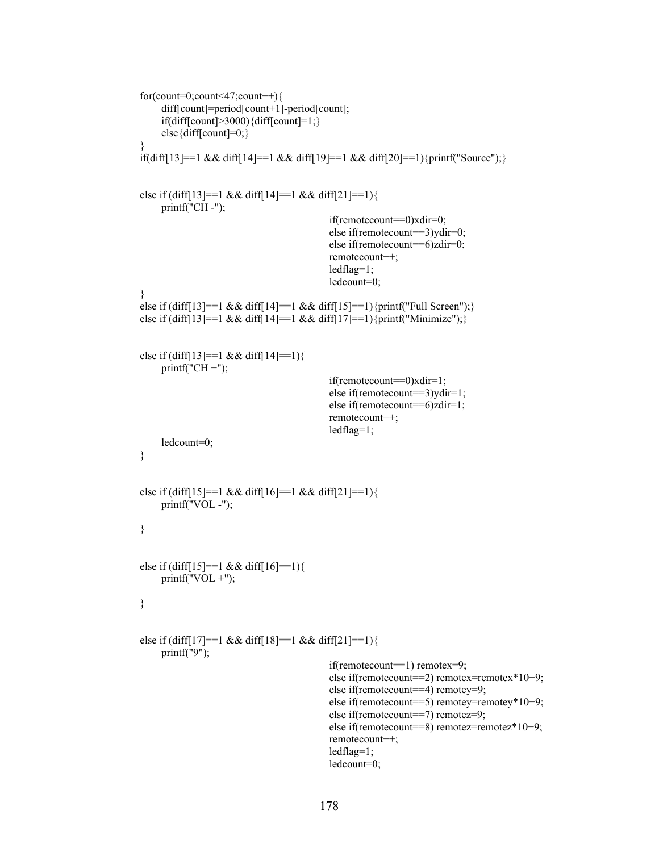```
 for(count=0;count<47;count++){ 
              diff[count]=period[count+1]-period[count];
              if(diff[count]>3000){diff[count]=1;}
              else{diff[count]=0;}
 } 
         if(diff[13]==1 && diff[14]==1 && diff[19]==1 && diff[20]==1){printf("Source");}
         else if (diff[13]==1 && diff[14]==1 && diff[21]==1){
              printf("CH -");
                                                      if(remotecount==0)xdir=0; 
                                                      else if(remotecount==3)ydir=0; 
                                                      else if(remotecount==6)zdir=0; 
                                                      remotecount++; 
                                                      ledflag=1; 
                                                      ledcount=0; 
          } 
         else if (diff[13]==1 && diff[14]==1 && diff[15]==1){printf("Full Screen");}
         else if (diff[13]==1 && diff[14]==1 && diff[17]==1){printf("Minimize");}
          else if (diff[13]==1 && diff[14]==1){ 
               printf("CH +"); 
                                                      if(remotecount==0)xdir=1; 
                                                      else if(remotecount==3)ydir=1; 
                                                      else if(remotecount==6)zdir=1; 
                                                      remotecount++; 
                                                      ledflag=1; 
               ledcount=0; 
          } 
         else if (diff[15]==1 && diff[16]==1 && diff[21]==1){
              printf("VOL -");
          } 
         else if \text{diff}[15] == 1 \& \& \text{diff}[16] == 1)printf("VOL +");
          } 
         else if (diff[17]==1 && diff[18]==1 && diff[21]==1){
               printf("9"); 
                                                      if(remotecount==1) remotex=9; 
                                                      else if(remotecount==2) remotex=remotex*10+9; 
                                                      else if(remotecount==4) remotey=9; 
                                                      else if(remotecount==5) remotey=remotey*10+9; 
                                                      else if(remotecount==7) remotez=9; 
                                                      else if(remotecount==8) remotez=remotez*10+9; 
                                                      remotecount++; 
                                                      ledflag=1; 
                                                      ledcount=0;
```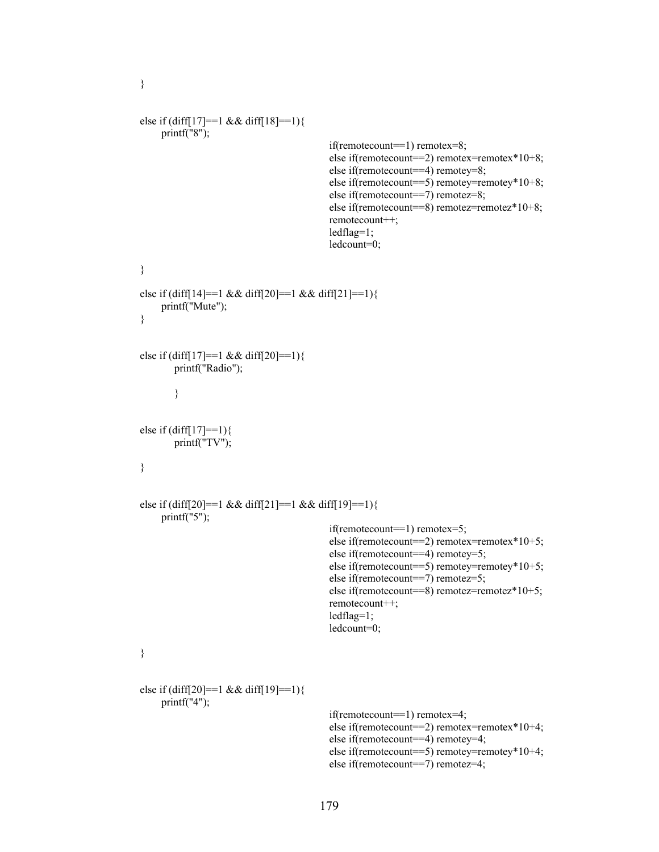```
else if \text{diff}[17] == 1 \& \& \text{diff}[18] == 1)printf("8");
                                                      if(remotecount==1) remotex=8; 
                                                      else if(remotecount==2) remotex=remotex*10+8; 
                                                      else if(remotecount==4) remotey=8; 
                                                      else if(remotecount==5) remotey=remotey*10+8; 
                                                      else if(remotecount==7) remotez=8; 
                                                      else if(remotecount==8) remotez=remotez*10+8; 
                                                      remotecount++; 
                                                      ledflag=1; 
                                                      ledcount=0; 
          } 
         else if (diff[14]==1 && diff[20]==1 && diff[21]==1){
               printf("Mute"); 
          } 
          else if (diff[17]==1 && diff[20]==1){ 
                  printf("Radio"); 
 } 
         else if \text{diff}[17] == 1}{
                  printf("TV"); 
          } 
         else if (diff[20]==1 && diff[21]==1 && diff[19]==1){
              printf("5");
                                                      if(remotecount==1) remotex=5; 
                                                      else if(remotecount==2) remotex=remotex*10+5; 
                                                      else if(remotecount==4) remotey=5; 
                                                      else if(remotecount==5) remotey=remotey*10+5; 
                                                      else if(remotecount==7) remotez=5; 
                                                      else if(remotecount==8) remotez=remotez*10+5; 
                                                      remotecount++; 
                                                      ledflag=1; 
                                                      ledcount=0; 
          } 
          else if (diff[20]==1 && diff[19]==1){ 
              printf('4");
                                                      if(remotecount==1) remotex=4; 
                                                      else if(remotecount==2) remotex=remotex*10+4; 
                                                      else if(remotecount==4) remotey=4; 
                                                      else if(remotecount==5) remotey=remotey*10+4; 
                                                      else if(remotecount==7) remotez=4;
```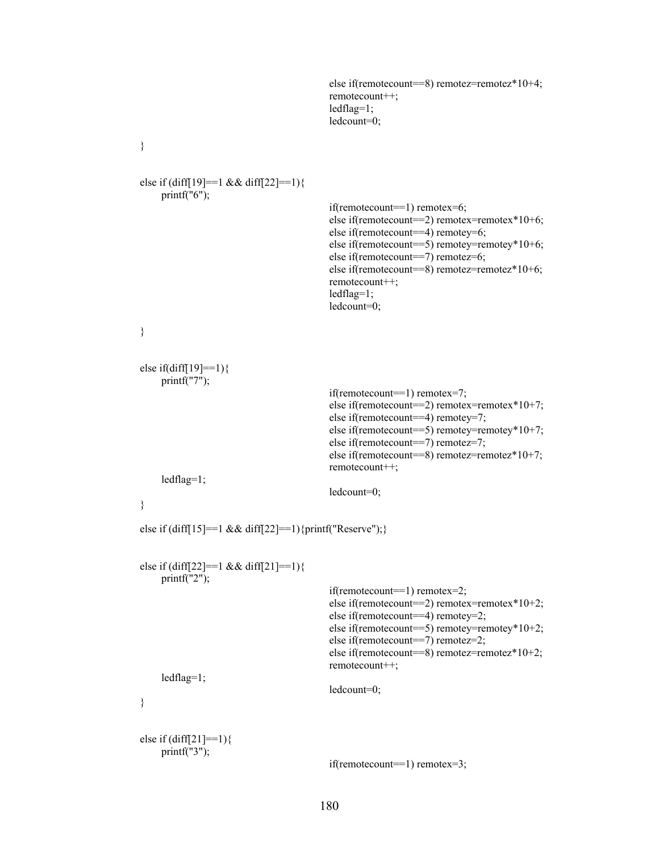```
 else if(remotecount==8) remotez=remotez*10+4; 
                                             remotecount++; 
                                             ledflag=1; 
                                             ledcount=0; 
 } 
 else if (diff[19]==1 && diff[22]==1){ 
    printf("6");
                                             if(remotecount==1) remotex=6; 
                                             else if(remotecount==2) remotex=remotex*10+6; 
                                             else if(remotecount==4) remotey=6; 
                                             else if(remotecount==5) remotey=remotey*10+6; 
                                             else if(remotecount==7) remotez=6; 
                                             else if(remotecount==8) remotez=remotez*10+6; 
                                             remotecount++; 
                                             ledflag=1; 
                                             ledcount=0; 
 } 
 else if(diff[19]==1){ 
     printf("7"); 
                                             if(remotecount==1) remotex=7; 
                                             else if(remotecount==2) remotex=remotex*10+7; 
                                             else if(remotecount==4) remotey=7; 
                                             else if(remotecount==5) remotey=remotey*10+7; 
                                             else if(remotecount==7) remotez=7; 
                                             else if(remotecount==8) remotez=remotez*10+7; 
                                             remotecount++; 
     ledflag=1; 
                                             ledcount=0; 
 } 
else if (diff[15]==1 && diff[22]==1){printf("Reserve");}
else if \text{diff}[22] == 1 \& \& \text{diff}[21] == 1) printf("2"); 
                                             if(remotecount==1) remotex=2; 
                                             else if(remotecount==2) remotex=remotex*10+2; 
                                             else if(remotecount==4) remotey=2; 
                                             else if(remotecount==5) remotey=remotey*10+2; 
                                             else if(remotecount==7) remotez=2; 
                                             else if(remotecount==8) remotez=remotez*10+2; 
                                             remotecount++; 
     ledflag=1; 
                                             ledcount=0; 
 } 
 else if (diff[21]==1){ 
    printf("3");
                                             if(remotecount==1) remotex=3;
```

```
180
```